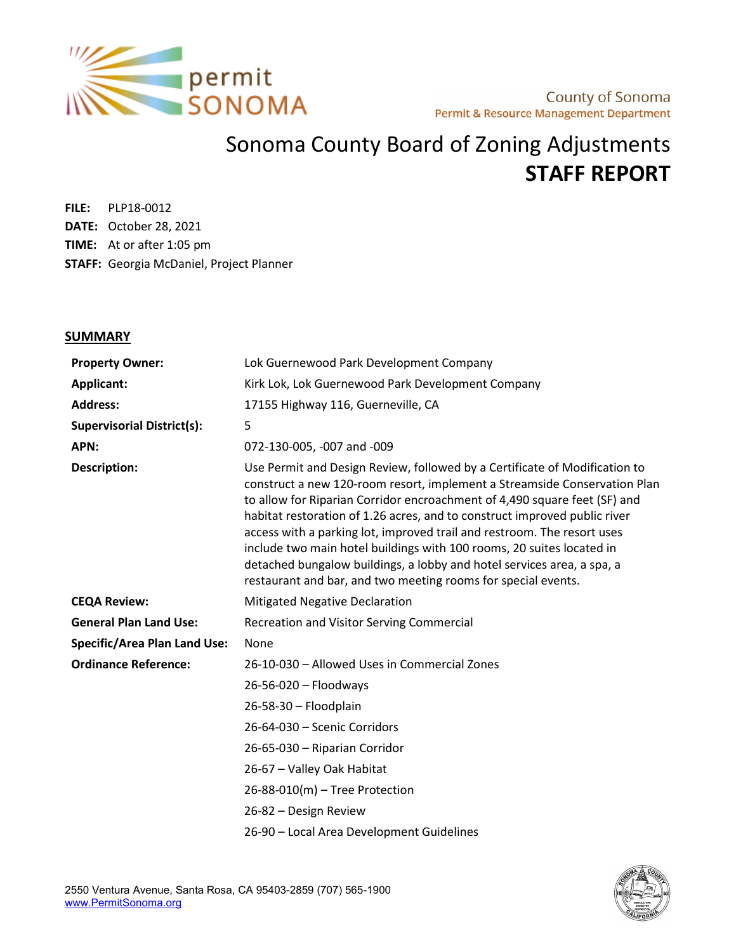

## Sonoma County Board of Zoning Adjustments **STAFF REPORT**

**FILE:** PLP18-0012 **DATE:** October 28, 2021 **TIME:** At or after 1:05 pm **STAFF:** Georgia McDaniel, Project Planner

#### **SUMMARY**

| <b>Property Owner:</b>              | Lok Guernewood Park Development Company                                                                                                                                                                                                                                                                                                                                                                                                                                                                                                                                                                          |  |  |
|-------------------------------------|------------------------------------------------------------------------------------------------------------------------------------------------------------------------------------------------------------------------------------------------------------------------------------------------------------------------------------------------------------------------------------------------------------------------------------------------------------------------------------------------------------------------------------------------------------------------------------------------------------------|--|--|
| Applicant:                          | Kirk Lok, Lok Guernewood Park Development Company                                                                                                                                                                                                                                                                                                                                                                                                                                                                                                                                                                |  |  |
| <b>Address:</b>                     | 17155 Highway 116, Guerneville, CA                                                                                                                                                                                                                                                                                                                                                                                                                                                                                                                                                                               |  |  |
| <b>Supervisorial District(s):</b>   | 5                                                                                                                                                                                                                                                                                                                                                                                                                                                                                                                                                                                                                |  |  |
| APN:                                | 072-130-005, -007 and -009                                                                                                                                                                                                                                                                                                                                                                                                                                                                                                                                                                                       |  |  |
| <b>Description:</b>                 | Use Permit and Design Review, followed by a Certificate of Modification to<br>construct a new 120-room resort, implement a Streamside Conservation Plan<br>to allow for Riparian Corridor encroachment of 4,490 square feet (SF) and<br>habitat restoration of 1.26 acres, and to construct improved public river<br>access with a parking lot, improved trail and restroom. The resort uses<br>include two main hotel buildings with 100 rooms, 20 suites located in<br>detached bungalow buildings, a lobby and hotel services area, a spa, a<br>restaurant and bar, and two meeting rooms for special events. |  |  |
| <b>CEQA Review:</b>                 | <b>Mitigated Negative Declaration</b>                                                                                                                                                                                                                                                                                                                                                                                                                                                                                                                                                                            |  |  |
| <b>General Plan Land Use:</b>       | Recreation and Visitor Serving Commercial                                                                                                                                                                                                                                                                                                                                                                                                                                                                                                                                                                        |  |  |
| <b>Specific/Area Plan Land Use:</b> | None                                                                                                                                                                                                                                                                                                                                                                                                                                                                                                                                                                                                             |  |  |
| <b>Ordinance Reference:</b>         | 26-10-030 - Allowed Uses in Commercial Zones                                                                                                                                                                                                                                                                                                                                                                                                                                                                                                                                                                     |  |  |
|                                     | 26-56-020 - Floodways                                                                                                                                                                                                                                                                                                                                                                                                                                                                                                                                                                                            |  |  |
|                                     | 26-58-30 - Floodplain                                                                                                                                                                                                                                                                                                                                                                                                                                                                                                                                                                                            |  |  |
|                                     | 26-64-030 - Scenic Corridors                                                                                                                                                                                                                                                                                                                                                                                                                                                                                                                                                                                     |  |  |
|                                     | 26-65-030 - Riparian Corridor                                                                                                                                                                                                                                                                                                                                                                                                                                                                                                                                                                                    |  |  |
|                                     | 26-67 - Valley Oak Habitat                                                                                                                                                                                                                                                                                                                                                                                                                                                                                                                                                                                       |  |  |
|                                     | 26-88-010(m) - Tree Protection                                                                                                                                                                                                                                                                                                                                                                                                                                                                                                                                                                                   |  |  |
|                                     | 26-82 – Design Review                                                                                                                                                                                                                                                                                                                                                                                                                                                                                                                                                                                            |  |  |
|                                     | 26-90 - Local Area Development Guidelines                                                                                                                                                                                                                                                                                                                                                                                                                                                                                                                                                                        |  |  |

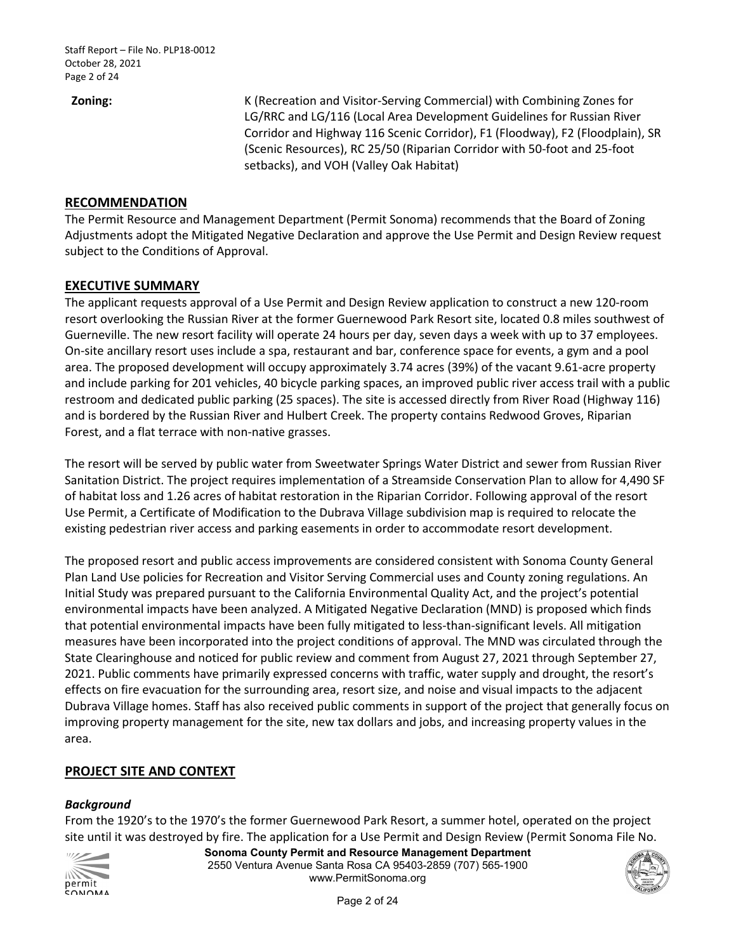**Zoning:** K (Recreation and Visitor-Serving Commercial) with Combining Zones for LG/RRC and LG/116 (Local Area Development Guidelines for Russian River Corridor and Highway 116 Scenic Corridor), F1 (Floodway), F2 (Floodplain), SR (Scenic Resources), RC 25/50 (Riparian Corridor with 50-foot and 25-foot setbacks), and VOH (Valley Oak Habitat)

#### **RECOMMENDATION**

 Adjustments adopt the Mitigated Negative Declaration and approve the Use Permit and Design Review request The Permit Resource and Management Department (Permit Sonoma) recommends that the Board of Zoning subject to the Conditions of Approval.

#### **EXECUTIVE SUMMARY**

 The applicant requests approval of a Use Permit and Design Review application to construct a new 120-room Guerneville. The new resort facility will operate 24 hours per day, seven days a week with up to 37 employees. On-site ancillary resort uses include a spa, restaurant and bar, conference space for events, a gym and a pool and include parking for 201 vehicles, 40 bicycle parking spaces, an improved public river access trail with a public restroom and dedicated public parking (25 spaces). The site is accessed directly from River Road (Highway 116) and is bordered by the Russian River and Hulbert Creek. The property contains Redwood Groves, Riparian resort overlooking the Russian River at the former Guernewood Park Resort site, located 0.8 miles southwest of area. The proposed development will occupy approximately 3.74 acres (39%) of the vacant 9.61-acre property Forest, and a flat terrace with non-native grasses.

 The resort will be served by public water from Sweetwater Springs Water District and sewer from Russian River existing pedestrian river access and parking easements in order to accommodate resort development. Sanitation District. The project requires implementation of a Streamside Conservation Plan to allow for 4,490 SF of habitat loss and 1.26 acres of habitat restoration in the Riparian Corridor. Following approval of the resort Use Permit, a Certificate of Modification to the Dubrava Village subdivision map is required to relocate the

 Initial Study was prepared pursuant to the California Environmental Quality Act, and the project's potential environmental impacts have been analyzed. A Mitigated Negative Declaration (MND) is proposed which finds measures have been incorporated into the project conditions of approval. The MND was circulated through the effects on fire evacuation for the surrounding area, resort size, and noise and visual impacts to the adjacent Dubrava Village homes. Staff has also received public comments in support of the project that generally focus on improving property management for the site, new tax dollars and jobs, and increasing property values in the The proposed resort and public access improvements are considered consistent with Sonoma County General Plan Land Use policies for Recreation and Visitor Serving Commercial uses and County zoning regulations. An that potential environmental impacts have been fully mitigated to less-than-significant levels. All mitigation State Clearinghouse and noticed for public review and comment from August 27, 2021 through September 27, 2021. Public comments have primarily expressed concerns with traffic, water supply and drought, the resort's area.

#### **PROJECT SITE AND CONTEXT**

#### *Background*

From the 1920's to the 1970's the former Guernewood Park Resort, a summer hotel, operated on the project site until it was destroyed by fire. The application for a Use Permit and Design Review (Permit Sonoma File No.



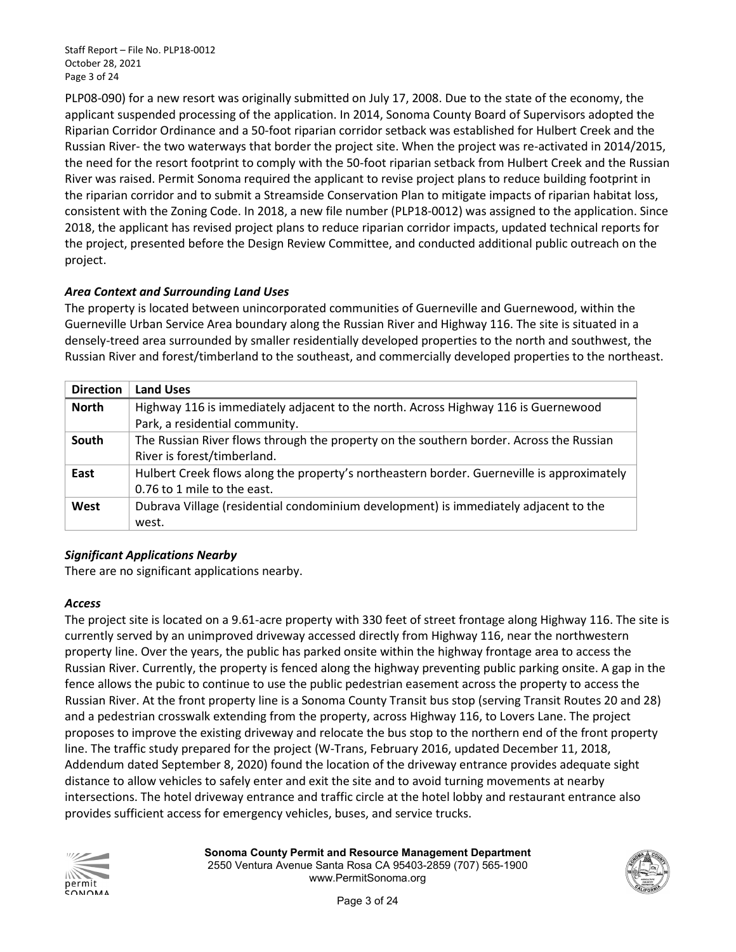PLP08-090) for a new resort was originally submitted on July 17, 2008. Due to the state of the economy, the Riparian Corridor Ordinance and a 50-foot riparian corridor setback was established for Hulbert Creek and the the need for the resort footprint to comply with the 50-foot riparian setback from Hulbert Creek and the Russian consistent with the Zoning Code. In 2018, a new file number (PLP18-0012) was assigned to the application. Since the project, presented before the Design Review Committee, and conducted additional public outreach on the applicant suspended processing of the application. In 2014, Sonoma County Board of Supervisors adopted the Russian River- the two waterways that border the project site. When the project was re-activated in 2014/2015, River was raised. Permit Sonoma required the applicant to revise project plans to reduce building footprint in the riparian corridor and to submit a Streamside Conservation Plan to mitigate impacts of riparian habitat loss, 2018, the applicant has revised project plans to reduce riparian corridor impacts, updated technical reports for project.

### *Area Context and Surrounding Land Uses*

 The property is located between unincorporated communities of Guerneville and Guernewood, within the Guerneville Urban Service Area boundary along the Russian River and Highway 116. The site is situated in a densely-treed area surrounded by smaller residentially developed properties to the north and southwest, the Russian River and forest/timberland to the southeast, and commercially developed properties to the northeast.

| <b>Direction</b> | <b>Land Uses</b>                                                                           |
|------------------|--------------------------------------------------------------------------------------------|
| <b>North</b>     | Highway 116 is immediately adjacent to the north. Across Highway 116 is Guernewood         |
|                  | Park, a residential community.                                                             |
| South            | The Russian River flows through the property on the southern border. Across the Russian    |
|                  | River is forest/timberland.                                                                |
| East             | Hulbert Creek flows along the property's northeastern border. Guerneville is approximately |
|                  | 0.76 to 1 mile to the east.                                                                |
| West             | Dubrava Village (residential condominium development) is immediately adjacent to the       |
|                  | west.                                                                                      |

#### *Significant Applications Nearby*

There are no significant applications nearby.

#### *Access*

 property line. Over the years, the public has parked onsite within the highway frontage area to access the Russian River. Currently, the property is fenced along the highway preventing public parking onsite. A gap in the Russian River. At the front property line is a Sonoma County Transit bus stop (serving Transit Routes 20 and 28) and a pedestrian crosswalk extending from the property, across Highway 116, to Lovers Lane. The project line. The traffic study prepared for the project (W-Trans, February 2016, updated December 11, 2018, Addendum dated September 8, 2020) found the location of the driveway entrance provides adequate sight distance to allow vehicles to safely enter and exit the site and to avoid turning movements at nearby The project site is located on a 9.61-acre property with 330 feet of street frontage along Highway 116. The site is currently served by an unimproved driveway accessed directly from Highway 116, near the northwestern fence allows the pubic to continue to use the public pedestrian easement across the property to access the proposes to improve the existing driveway and relocate the bus stop to the northern end of the front property intersections. The hotel driveway entrance and traffic circle at the hotel lobby and restaurant entrance also provides sufficient access for emergency vehicles, buses, and service trucks.



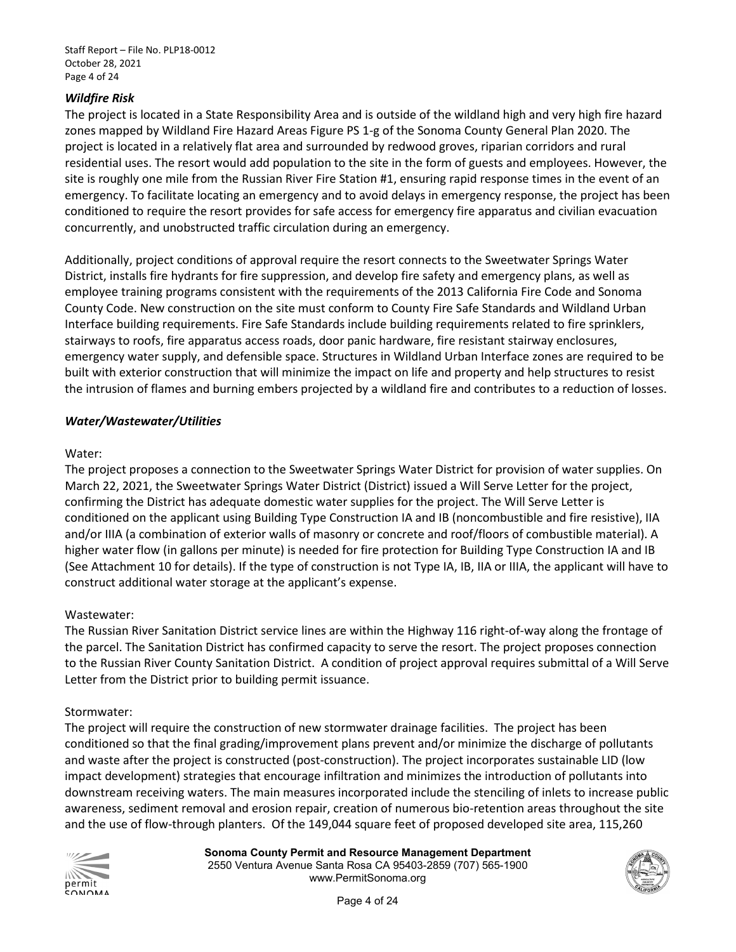#### *Wildfire Risk*

 The project is located in a State Responsibility Area and is outside of the wildland high and very high fire hazard zones mapped by Wildland Fire Hazard Areas Figure PS 1-g of the Sonoma County General Plan 2020. The project is located in a relatively flat area and surrounded by redwood groves, riparian corridors and rural residential uses. The resort would add population to the site in the form of guests and employees. However, the site is roughly one mile from the Russian River Fire Station #1, ensuring rapid response times in the event of an emergency. To facilitate locating an emergency and to avoid delays in emergency response, the project has been conditioned to require the resort provides for safe access for emergency fire apparatus and civilian evacuation concurrently, and unobstructed traffic circulation during an emergency.

 Additionally, project conditions of approval require the resort connects to the Sweetwater Springs Water employee training programs consistent with the requirements of the 2013 California Fire Code and Sonoma County Code. New construction on the site must conform to County Fire Safe Standards and Wildland Urban stairways to roofs, fire apparatus access roads, door panic hardware, fire resistant stairway enclosures, the intrusion of flames and burning embers projected by a wildland fire and contributes to a reduction of losses. District, installs fire hydrants for fire suppression, and develop fire safety and emergency plans, as well as Interface building requirements. Fire Safe Standards include building requirements related to fire sprinklers, emergency water supply, and defensible space. Structures in Wildland Urban Interface zones are required to be built with exterior construction that will minimize the impact on life and property and help structures to resist

#### *Water/Wastewater/Utilities*

#### Water:

 The project proposes a connection to the Sweetwater Springs Water District for provision of water supplies. On March 22, 2021, the Sweetwater Springs Water District (District) issued a Will Serve Letter for the project, confirming the District has adequate domestic water supplies for the project. The Will Serve Letter is conditioned on the applicant using Building Type Construction IA and IB (noncombustible and fire resistive), IIA higher water flow (in gallons per minute) is needed for fire protection for Building Type Construction IA and IB and/or IIIA (a combination of exterior walls of masonry or concrete and roof/floors of combustible material). A (See Attachment 10 for details). If the type of construction is not Type IA, IB, IIA or IIIA, the applicant will have to construct additional water storage at the applicant's expense.

#### Wastewater:

 the parcel. The Sanitation District has confirmed capacity to serve the resort. The project proposes connection Letter from the District prior to building permit issuance. The Russian River Sanitation District service lines are within the Highway 116 right-of-way along the frontage of to the Russian River County Sanitation District. A condition of project approval requires submittal of a Will Serve

#### Stormwater:

Letter from the District prior to building permit issuance.<br>Stormwater:<br>The project will require the construction of new stormwater drainage facilities. The project has been conditioned so that the final grading/improvement plans prevent and/or minimize the discharge of pollutants and waste after the project is constructed (post-construction). The project incorporates sustainable LID (low impact development) strategies that encourage infiltration and minimizes the introduction of pollutants into downstream receiving waters. The main measures incorporated include the stenciling of inlets to increase public awareness, sediment removal and erosion repair, creation of numerous bio-retention areas throughout the site and the use of flow-through planters. Of the 149,044 square feet of proposed developed site area, 115,260



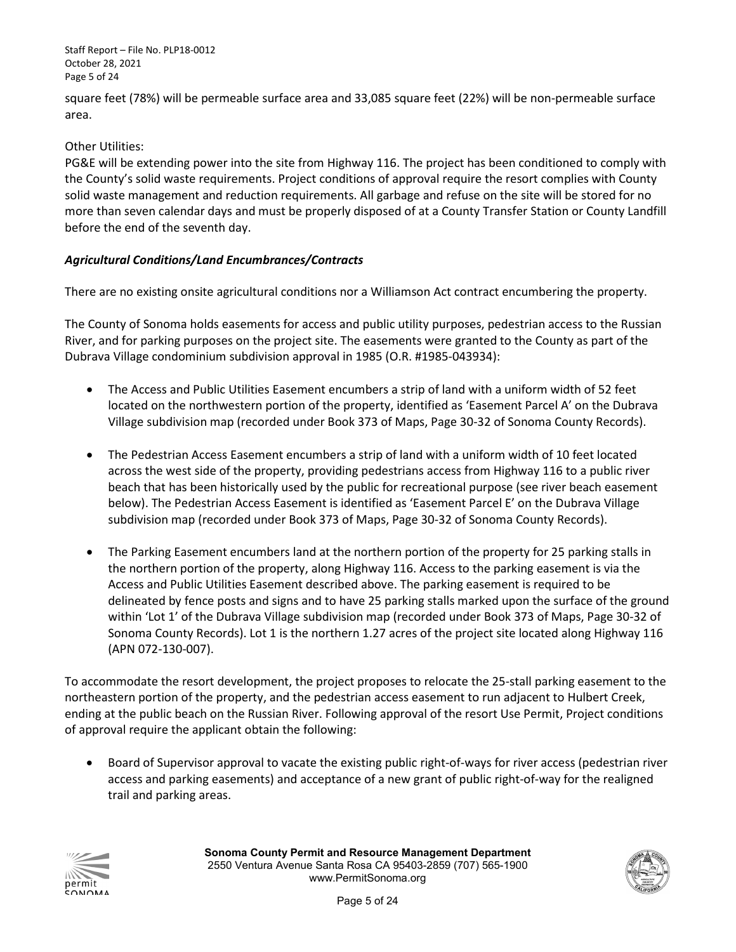Staff Report – File No. PLP18-0012 October 28, 2021 Page 5 of 24

 square feet (78%) will be permeable surface area and 33,085 square feet (22%) will be non-permeable surface area.

#### Other Utilities:

 PG&E will be extending power into the site from Highway 116. The project has been conditioned to comply with the County's solid waste requirements. Project conditions of approval require the resort complies with County solid waste management and reduction requirements. All garbage and refuse on the site will be stored for no more than seven calendar days and must be properly disposed of at a County Transfer Station or County Landfill before the end of the seventh day.

#### *Agricultural Conditions/Land Encumbrances/Contracts*

There are no existing onsite agricultural conditions nor a Williamson Act contract encumbering the property.

 River, and for parking purposes on the project site. The easements were granted to the County as part of the Dubrava Village condominium subdivision approval in 1985 (O.R. #1985-043934): The County of Sonoma holds easements for access and public utility purposes, pedestrian access to the Russian

- • The Access and Public Utilities Easement encumbers a strip of land with a uniform width of 52 feet Village subdivision map (recorded under Book 373 of Maps, Page 30-32 of Sonoma County Records). located on the northwestern portion of the property, identified as 'Easement Parcel A' on the Dubrava
- below). The Pedestrian Access Easement is identified as 'Easement Parcel E' on the Dubrava Village subdivision map (recorded under Book 373 of Maps, Page 30-32 of Sonoma County Records). • The Pedestrian Access Easement encumbers a strip of land with a uniform width of 10 feet located across the west side of the property, providing pedestrians access from Highway 116 to a public river beach that has been historically used by the public for recreational purpose (see river beach easement
- • The Parking Easement encumbers land at the northern portion of the property for 25 parking stalls in delineated by fence posts and signs and to have 25 parking stalls marked upon the surface of the ground Sonoma County Records). Lot 1 is the northern 1.27 acres of the project site located along Highway 116 (APN 072-130-007). the northern portion of the property, along Highway 116. Access to the parking easement is via the Access and Public Utilities Easement described above. The parking easement is required to be within 'Lot 1' of the Dubrava Village subdivision map (recorded under Book 373 of Maps, Page 30-32 of

 (APN 072-130-007). To accommodate the resort development, the project proposes to relocate the 25-stall parking easement to the northeastern portion of the property, and the pedestrian access easement to run adjacent to Hulbert Creek, ending at the public beach on the Russian River. Following approval of the resort Use Permit, Project conditions of approval require the applicant obtain the following:

 access and parking easements) and acceptance of a new grant of public right-of-way for the realigned • Board of Supervisor approval to vacate the existing public right-of-ways for river access (pedestrian river trail and parking areas.



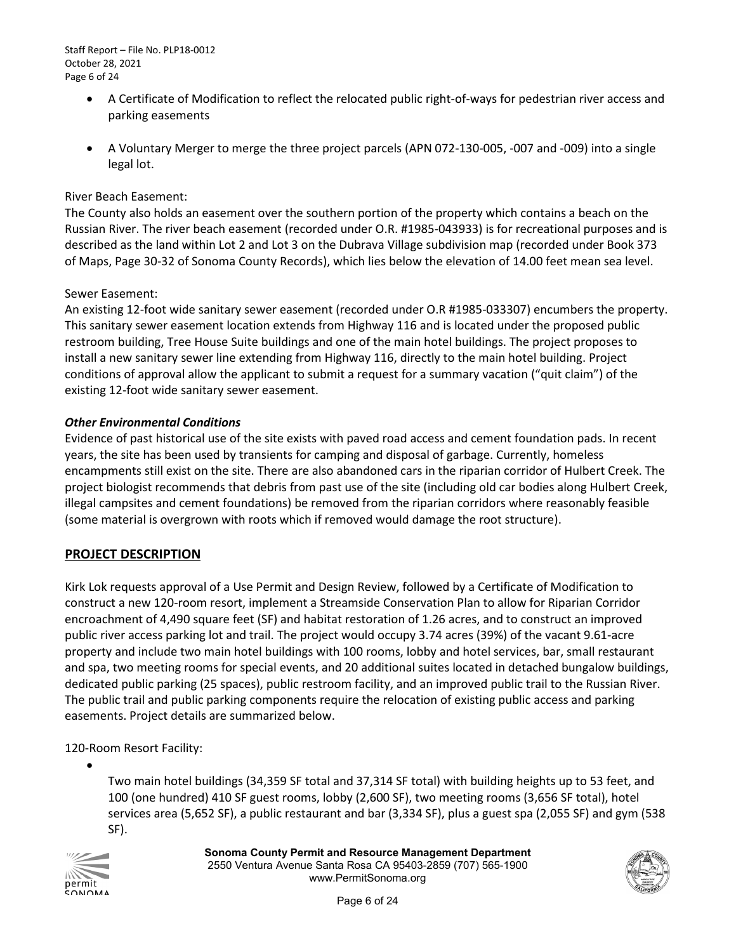Staff Report – File No. PLP18-0012 October 28, 2021 Page 6 of 24

- A Certificate of Modification to reflect the relocated public right-of-ways for pedestrian river access and parking easements
- legal lot. • A Voluntary Merger to merge the three project parcels (APN 072-130-005, -007 and -009) into a single

#### River Beach Easement:

 Russian River. The river beach easement (recorded under O.R. #1985-043933) is for recreational purposes and is described as the land within Lot 2 and Lot 3 on the Dubrava Village subdivision map (recorded under Book 373 The County also holds an easement over the southern portion of the property which contains a beach on the of Maps, Page 30-32 of Sonoma County Records), which lies below the elevation of 14.00 feet mean sea level.

#### Sewer Easement:

An existing 12-foot wide sanitary sewer easement (recorded under O.R #1985-033307) encumbers the property.<br>This sanitary sewer easement location extends from Highway 116 and is located under the proposed public This sanitary sewer easement location extends from Highway 116 and is located under the proposed public restroom building, Tree House Suite buildings and one of the main hotel buildings. The project proposes to install a new sanitary sewer line extending from Highway 116, directly to the main hotel building. Project conditions of approval allow the applicant to submit a request for a summary vacation ("quit claim") of the existing 12-foot wide sanitary sewer easement.

#### *Other Environmental Conditions*

 encampments still exist on the site. There are also abandoned cars in the riparian corridor of Hulbert Creek. The Evidence of past historical use of the site exists with paved road access and cement foundation pads. In recent years, the site has been used by transients for camping and disposal of garbage. Currently, homeless project biologist recommends that debris from past use of the site (including old car bodies along Hulbert Creek, illegal campsites and cement foundations) be removed from the riparian corridors where reasonably feasible (some material is overgrown with roots which if removed would damage the root structure).

#### **PROJECT DESCRIPTION**

 encroachment of 4,490 square feet (SF) and habitat restoration of 1.26 acres, and to construct an improved property and include two main hotel buildings with 100 rooms, lobby and hotel services, bar, small restaurant dedicated public parking (25 spaces), public restroom facility, and an improved public trail to the Russian River. The public trail and public parking components require the relocation of existing public access and parking Kirk Lok requests approval of a Use Permit and Design Review, followed by a Certificate of Modification to construct a new 120-room resort, implement a Streamside Conservation Plan to allow for Riparian Corridor public river access parking lot and trail. The project would occupy 3.74 acres (39%) of the vacant 9.61-acre and spa, two meeting rooms for special events, and 20 additional suites located in detached bungalow buildings, easements. Project details are summarized below.

120-Room Resort Facility:

 100 (one hundred) 410 SF guest rooms, lobby (2,600 SF), two meeting rooms (3,656 SF total), hotel services area (5,652 SF), a public restaurant and bar (3,334 SF), plus a guest spa (2,055 SF) and gym (538 Two main hotel buildings (34,359 SF total and 37,314 SF total) with building heights up to 53 feet, and SF).



•

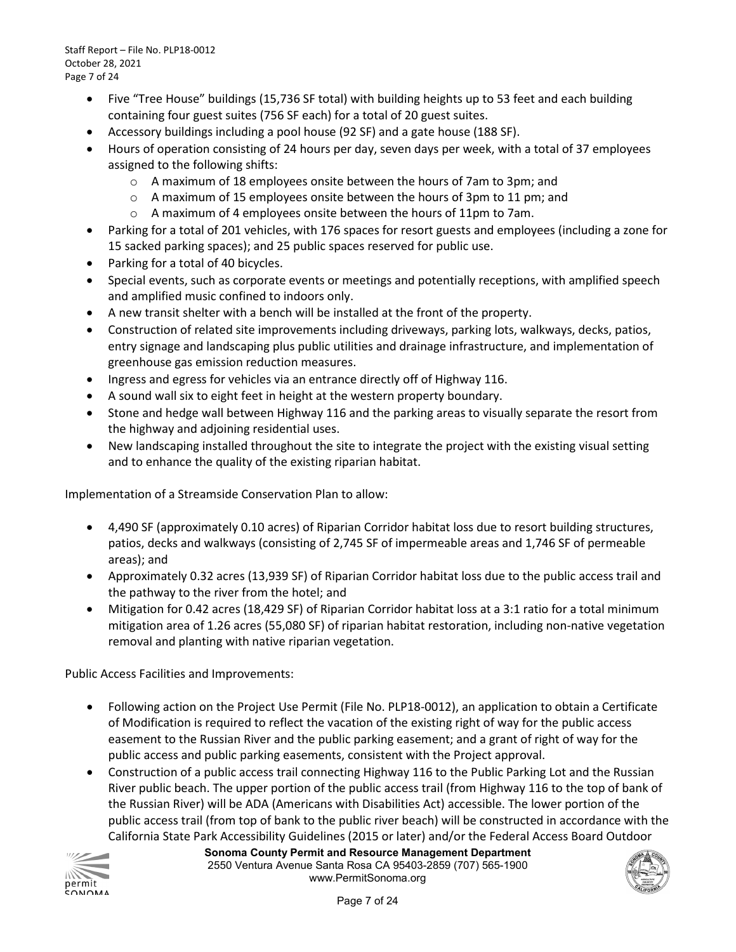Staff Report – File No. PLP18-0012 October 28, 2021 Page 7 of 24

- Five "Tree House" buildings (15,736 SF total) with building heights up to 53 feet and each building containing four guest suites (756 SF each) for a total of 20 guest suites.
- Accessory buildings including a pool house (92 SF) and a gate house (188 SF).
- Hours of operation consisting of 24 hours per day, seven days per week, with a total of 37 employees assigned to the following shifts:
	- o A maximum of 18 employees onsite between the hours of 7am to 3pm; and
	- o A maximum of 15 employees onsite between the hours of 3pm to 11 pm; and
		- $\circ$  A maximum of 4 employees onsite between the hours of 11pm to 7am.
- Parking for a total of 201 vehicles, with 176 spaces for resort guests and employees (including a zone for 15 sacked parking spaces); and 25 public spaces reserved for public use.
- Parking for a total of 40 bicycles.
- • Special events, such as corporate events or meetings and potentially receptions, with amplified speech and amplified music confined to indoors only.
- A new transit shelter with a bench will be installed at the front of the property.
- entry signage and landscaping plus public utilities and drainage infrastructure, and implementation of greenhouse gas emission reduction measures. • Construction of related site improvements including driveways, parking lots, walkways, decks, patios,
- Ingress and egress for vehicles via an entrance directly off of Highway 116.
- A sound wall six to eight feet in height at the western property boundary.
- Stone and hedge wall between Highway 116 and the parking areas to visually separate the resort from the highway and adjoining residential uses.
- New landscaping installed throughout the site to integrate the project with the existing visual setting and to enhance the quality of the existing riparian habitat.

Implementation of a Streamside Conservation Plan to allow:

- 4,490 SF (approximately 0.10 acres) of Riparian Corridor habitat loss due to resort building structures, patios, decks and walkways (consisting of 2,745 SF of impermeable areas and 1,746 SF of permeable areas); and
- • Approximately 0.32 acres (13,939 SF) of Riparian Corridor habitat loss due to the public access trail and the pathway to the river from the hotel; and
- Mitigation for 0.42 acres (18,429 SF) of Riparian Corridor habitat loss at a 3:1 ratio for a total minimum mitigation area of 1.26 acres (55,080 SF) of riparian habitat restoration, including non-native vegetation removal and planting with native riparian vegetation.

Public Access Facilities and Improvements:

- Following action on the Project Use Permit (File No. PLP18-0012), an application to obtain a Certificate of Modification is required to reflect the vacation of the existing right of way for the public access easement to the Russian River and the public parking easement; and a grant of right of way for the public access and public parking easements, consistent with the Project approval.
- • Construction of a public access trail connecting Highway 116 to the Public Parking Lot and the Russian River public beach. The upper portion of the public access trail (from Highway 116 to the top of bank of public access trail (from top of bank to the public river beach) will be constructed in accordance with the California State Park Accessibility Guidelines (2015 or later) and/or the Federal Access Board Outdoor the Russian River) will be ADA (Americans with Disabilities Act) accessible. The lower portion of the



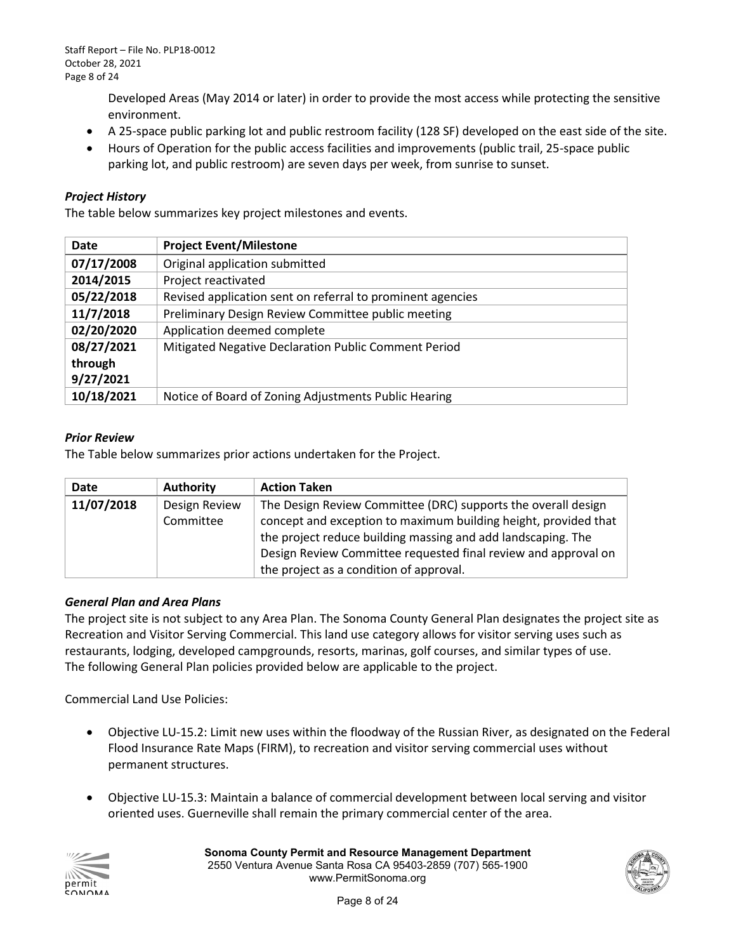Developed Areas (May 2014 or later) in order to provide the most access while protecting the sensitive environment.

- A 25-space public parking lot and public restroom facility (128 SF) developed on the east side of the site.
- Hours of Operation for the public access facilities and improvements (public trail, 25-space public parking lot, and public restroom) are seven days per week, from sunrise to sunset.

#### *Project History*

The table below summarizes key project milestones and events.

| <b>Date</b> | <b>Project Event/Milestone</b>                             |
|-------------|------------------------------------------------------------|
| 07/17/2008  | Original application submitted                             |
| 2014/2015   | Project reactivated                                        |
| 05/22/2018  | Revised application sent on referral to prominent agencies |
| 11/7/2018   | Preliminary Design Review Committee public meeting         |
| 02/20/2020  | Application deemed complete                                |
| 08/27/2021  | Mitigated Negative Declaration Public Comment Period       |
| through     |                                                            |
| 9/27/2021   |                                                            |
| 10/18/2021  | Notice of Board of Zoning Adjustments Public Hearing       |

#### *Prior Review*

The Table below summarizes prior actions undertaken for the Project.

| <b>Date</b> | <b>Authority</b>           | <b>Action Taken</b>                                                                                                              |
|-------------|----------------------------|----------------------------------------------------------------------------------------------------------------------------------|
| 11/07/2018  | Design Review<br>Committee | The Design Review Committee (DRC) supports the overall design<br>concept and exception to maximum building height, provided that |
|             |                            | the project reduce building massing and add landscaping. The<br>Design Review Committee requested final review and approval on   |
|             |                            | the project as a condition of approval.                                                                                          |

#### *General Plan and Area Plans*

 Recreation and Visitor Serving Commercial. This land use category allows for visitor serving uses such as restaurants, lodging, developed campgrounds, resorts, marinas, golf courses, and similar types of use.<br>The following General Plan policies provided below are applicable to the project. The following General Plan policies provided below are applicable to the project. The project site is not subject to any Area Plan. The Sonoma County General Plan designates the project site as

Commercial Land Use Policies:

- • Objective LU-15.2: Limit new uses within the floodway of the Russian River, as designated on the Federal Flood Insurance Rate Maps (FIRM), to recreation and visitor serving commercial uses without permanent structures.
- Objective LU-15.3: Maintain a balance of commercial development between local serving and visitor oriented uses. Guerneville shall remain the primary commercial center of the area.



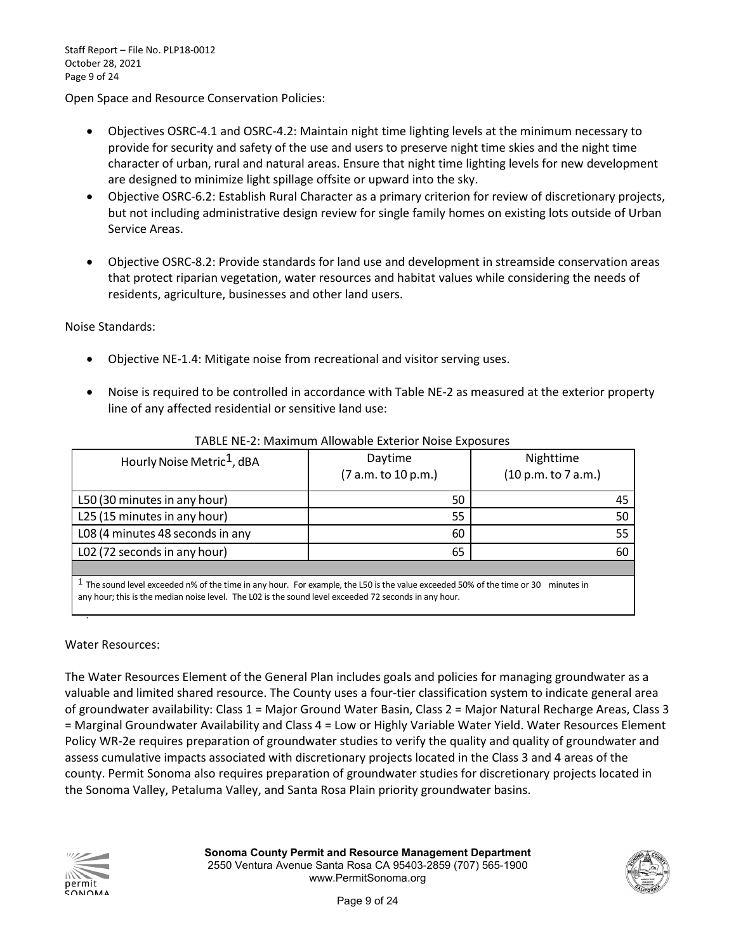Open Space and Resource Conservation Policies:

- provide for security and safety of the use and users to preserve night time skies and the night time • Objectives OSRC-4.1 and OSRC-4.2: Maintain night time lighting levels at the minimum necessary to character of urban, rural and natural areas. Ensure that night time lighting levels for new development are designed to minimize light spillage offsite or upward into the sky.
- but not including administrative design review for single family homes on existing lots outside of Urban • Objective OSRC-6.2: Establish Rural Character as a primary criterion for review of discretionary projects, Service Areas.
- • Objective OSRC-8.2: Provide standards for land use and development in streamside conservation areas that protect riparian vegetation, water resources and habitat values while considering the needs of residents, agriculture, businesses and other land users.

Noise Standards:

- Objective NE-1.4: Mitigate noise from recreational and visitor serving uses.
- • Noise is required to be controlled in accordance with Table NE-2 as measured at the exterior property line of any affected residential or sensitive land use:

| Hourly Noise Metric <sup>1</sup> , dBA | Daytime<br>(7 a.m. to 10 p.m.) | Nighttime<br>(10 p.m. to 7 a.m.) |
|----------------------------------------|--------------------------------|----------------------------------|
| L50 (30 minutes in any hour)           | 50                             | 45                               |
| L25 (15 minutes in any hour)           | 55                             | 50                               |
| L08 (4 minutes 48 seconds in any       | 60                             | 55                               |
| L02 (72 seconds in any hour)           | 65                             | 60                               |
|                                        |                                |                                  |

#### TABLE NE-2: Maximum Allowable Exterior Noise Exposures

 $^1$  The sound level exceeded n% of the time in any hour. For example, the L50 is the value exceeded 50% of the time or 30 minutes in any hour; this is the median noise level. The L02 is the sound level exceeded 72 seconds in any hour.

Water Resources:

•

 of groundwater availability: Class 1 = Major Ground Water Basin, Class 2 = Major Natural Recharge Areas, Class 3 = Marginal Groundwater Availability and Class 4 = Low or Highly Variable Water Yield. Water Resources Element Policy WR-2e requires preparation of groundwater studies to verify the quality and quality of groundwater and assess cumulative impacts associated with discretionary projects located in the Class 3 and 4 areas of the The Water Resources Element of the General Plan includes goals and policies for managing groundwater as a valuable and limited shared resource. The County uses a four-tier classification system to indicate general area county. Permit Sonoma also requires preparation of groundwater studies for discretionary projects located in the Sonoma Valley, Petaluma Valley, and Santa Rosa Plain priority groundwater basins.



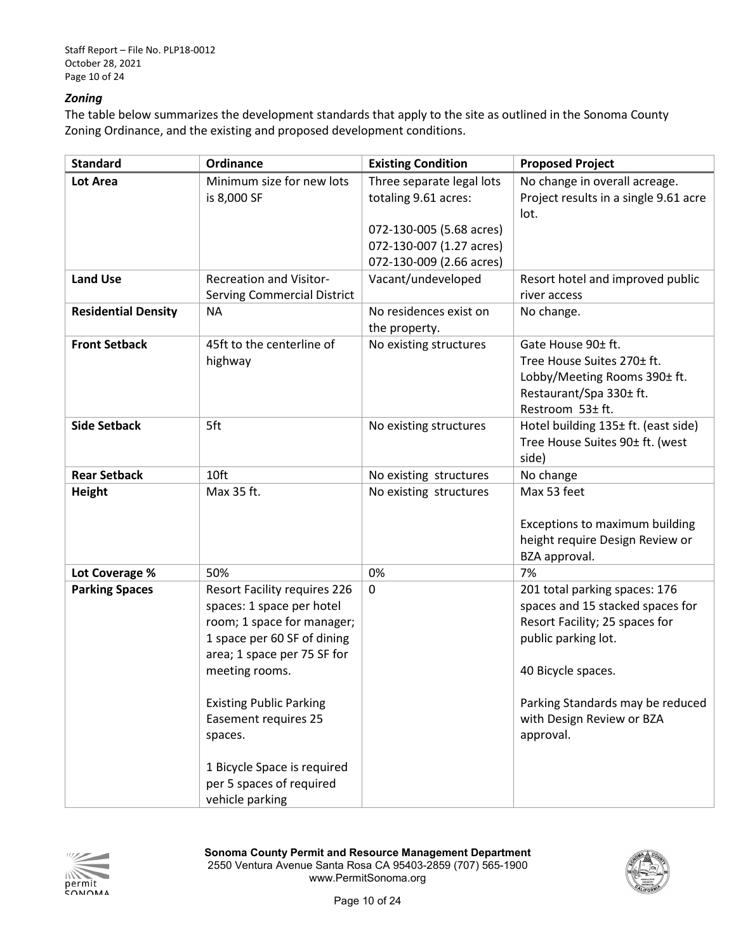#### *Zoning*

 Zoning Ordinance, and the existing and proposed development conditions. The table below summarizes the development standards that apply to the site as outlined in the Sonoma County

| Lot Area                   |                                                                                                                                                                                                                                                                                                                       |                                                                                  |                                                                                                                                                                                                                                |
|----------------------------|-----------------------------------------------------------------------------------------------------------------------------------------------------------------------------------------------------------------------------------------------------------------------------------------------------------------------|----------------------------------------------------------------------------------|--------------------------------------------------------------------------------------------------------------------------------------------------------------------------------------------------------------------------------|
|                            | Minimum size for new lots<br>is 8,000 SF                                                                                                                                                                                                                                                                              | Three separate legal lots<br>totaling 9.61 acres:                                | No change in overall acreage.<br>Project results in a single 9.61 acre<br>lot.                                                                                                                                                 |
|                            |                                                                                                                                                                                                                                                                                                                       | 072-130-005 (5.68 acres)<br>072-130-007 (1.27 acres)<br>072-130-009 (2.66 acres) |                                                                                                                                                                                                                                |
| <b>Land Use</b>            | <b>Recreation and Visitor-</b><br><b>Serving Commercial District</b>                                                                                                                                                                                                                                                  | Vacant/undeveloped                                                               | Resort hotel and improved public<br>river access                                                                                                                                                                               |
| <b>Residential Density</b> | <b>NA</b>                                                                                                                                                                                                                                                                                                             | No residences exist on<br>the property.                                          | No change.                                                                                                                                                                                                                     |
| <b>Front Setback</b>       | 45ft to the centerline of<br>highway                                                                                                                                                                                                                                                                                  | No existing structures                                                           | Gate House 90± ft.<br>Tree House Suites 270± ft.<br>Lobby/Meeting Rooms 390± ft.<br>Restaurant/Spa 330± ft.<br>Restroom 53± ft.                                                                                                |
| <b>Side Setback</b>        | 5ft                                                                                                                                                                                                                                                                                                                   | No existing structures                                                           | Hotel building 135± ft. (east side)<br>Tree House Suites 90± ft. (west<br>side)                                                                                                                                                |
| <b>Rear Setback</b>        | 10ft                                                                                                                                                                                                                                                                                                                  | No existing structures                                                           | No change                                                                                                                                                                                                                      |
| <b>Height</b>              | Max 35 ft.                                                                                                                                                                                                                                                                                                            | No existing structures                                                           | Max 53 feet<br>Exceptions to maximum building<br>height require Design Review or<br>BZA approval.                                                                                                                              |
| Lot Coverage %             | 50%                                                                                                                                                                                                                                                                                                                   | 0%                                                                               | 7%                                                                                                                                                                                                                             |
| <b>Parking Spaces</b>      | <b>Resort Facility requires 226</b><br>spaces: 1 space per hotel<br>room; 1 space for manager;<br>1 space per 60 SF of dining<br>area; 1 space per 75 SF for<br>meeting rooms.<br><b>Existing Public Parking</b><br><b>Easement requires 25</b><br>spaces.<br>1 Bicycle Space is required<br>per 5 spaces of required | 0                                                                                | 201 total parking spaces: 176<br>spaces and 15 stacked spaces for<br>Resort Facility; 25 spaces for<br>public parking lot.<br>40 Bicycle spaces.<br>Parking Standards may be reduced<br>with Design Review or BZA<br>approval. |



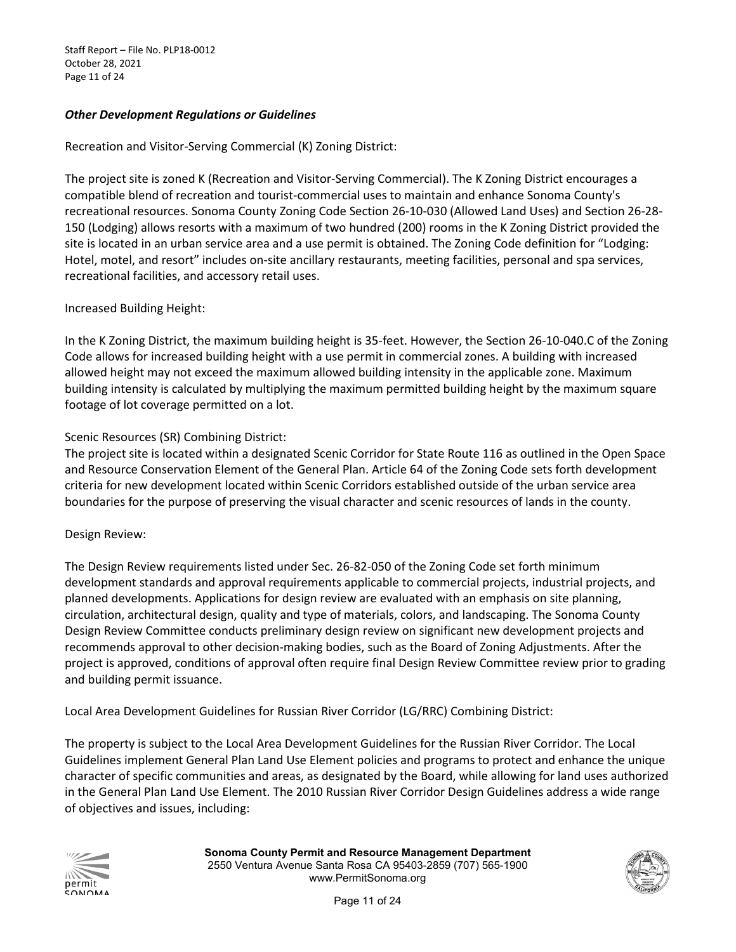Staff Report – File No. PLP18-0012 October 28, 2021 Page 11 of 24

#### *Other Development Regulations or Guidelines*

#### Recreation and Visitor-Serving Commercial (K) Zoning District:

 150 (Lodging) allows resorts with a maximum of two hundred (200) rooms in the K Zoning District provided the site is located in an urban service area and a use permit is obtained. The Zoning Code definition for "Lodging: The project site is zoned K (Recreation and Visitor-Serving Commercial). The K Zoning District encourages a compatible blend of recreation and tourist-commercial uses to maintain and enhance Sonoma County's recreational resources. Sonoma County Zoning Code Section 26-10-030 (Allowed Land Uses) and Section 26-28- Hotel, motel, and resort" includes on-site ancillary restaurants, meeting facilities, personal and spa services, recreational facilities, and accessory retail uses.

#### Increased Building Height:

 allowed height may not exceed the maximum allowed building intensity in the applicable zone. Maximum building intensity is calculated by multiplying the maximum permitted building height by the maximum square In the K Zoning District, the maximum building height is 35-feet. However, the Section 26-10-040.C of the Zoning Code allows for increased building height with a use permit in commercial zones. A building with increased

# footage of lot coverage permitted on a lot.<br>Scenic Resources (SR) Combining District:

 The project site is located within a designated Scenic Corridor for State Route 116 as outlined in the Open Space and Resource Conservation Element of the General Plan. Article 64 of the Zoning Code sets forth development criteria for new development located within Scenic Corridors established outside of the urban service area boundaries for the purpose of preserving the visual character and scenic resources of lands in the county.

#### Design Review:

 The Design Review requirements listed under Sec. 26-82-050 of the Zoning Code set forth minimum development standards and approval requirements applicable to commercial projects, industrial projects, and circulation, architectural design, quality and type of materials, colors, and landscaping. The Sonoma County recommends approval to other decision-making bodies, such as the Board of Zoning Adjustments. After the planned developments. Applications for design review are evaluated with an emphasis on site planning, Design Review Committee conducts preliminary design review on significant new development projects and project is approved, conditions of approval often require final Design Review Committee review prior to grading and building permit issuance.

Local Area Development Guidelines for Russian River Corridor (LG/RRC) Combining District:

 The property is subject to the Local Area Development Guidelines for the Russian River Corridor. The Local character of specific communities and areas, as designated by the Board, while allowing for land uses authorized Guidelines implement General Plan Land Use Element policies and programs to protect and enhance the unique in the General Plan Land Use Element. The 2010 Russian River Corridor Design Guidelines address a wide range of objectives and issues, including:



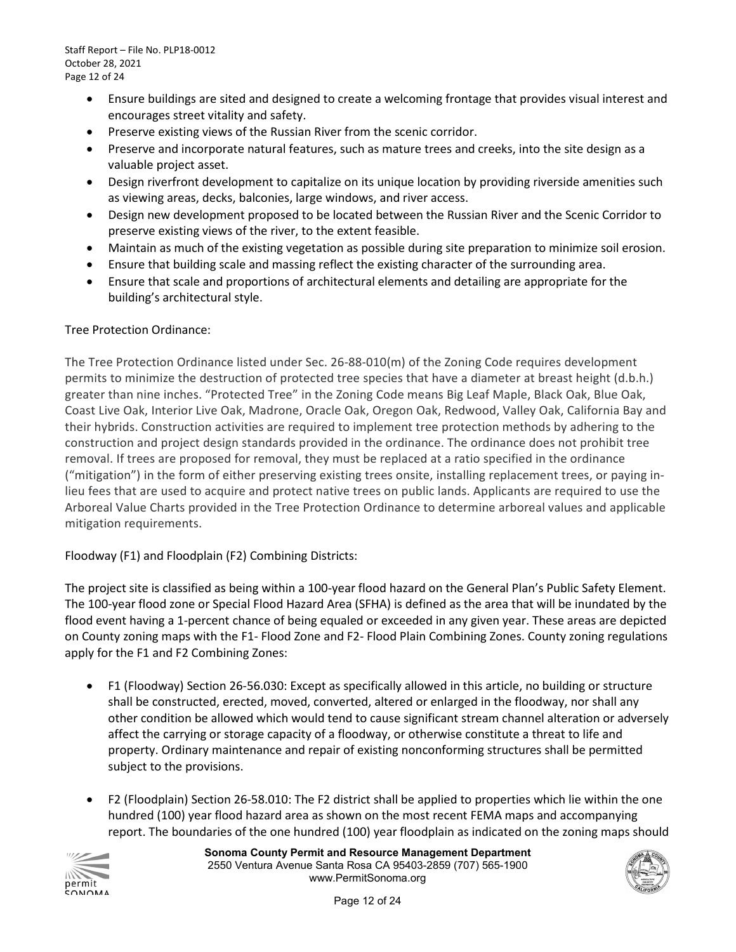Staff Report – File No. PLP18-0012 October 28, 2021 Page 12 of 24

- encourages street vitality and safety. • Ensure buildings are sited and designed to create a welcoming frontage that provides visual interest and
- Preserve existing views of the Russian River from the scenic corridor.
- • Preserve and incorporate natural features, such as mature trees and creeks, into the site design as a valuable project asset.
- Design riverfront development to capitalize on its unique location by providing riverside amenities such as viewing areas, decks, balconies, large windows, and river access.
- • Design new development proposed to be located between the Russian River and the Scenic Corridor to preserve existing views of the river, to the extent feasible.
- Maintain as much of the existing vegetation as possible during site preparation to minimize soil erosion.
- Ensure that building scale and massing reflect the existing character of the surrounding area.
- Ensure that scale and proportions of architectural elements and detailing are appropriate for the building's architectural style.

#### Tree Protection Ordinance:

 The Tree Protection Ordinance listed under Sec. 26-88-010(m) of the Zoning Code requires development permits to minimize the destruction of protected tree species that have a diameter at breast height (d.b.h.) greater than nine inches. "Protected Tree" in the Zoning Code means Big Leaf Maple, Black Oak, Blue Oak, Coast Live Oak, Interior Live Oak, Madrone, Oracle Oak, Oregon Oak, Redwood, Valley Oak, California Bay and removal. If trees are proposed for removal, they must be replaced at a ratio specified in the ordinance ("mitigation") in the form of either preserving existing trees onsite, installing replacement trees, or paying in- lieu fees that are used to acquire and protect native trees on public lands. Applicants are required to use the Arboreal Value Charts provided in the Tree Protection Ordinance to determine arboreal values and applicable their hybrids. Construction activities are required to implement tree protection methods by adhering to the construction and project design standards provided in the ordinance. The ordinance does not prohibit tree mitigation requirements.

Floodway (F1) and Floodplain (F2) Combining Districts:

 The 100-year flood zone or Special Flood Hazard Area (SFHA) is defined as the area that will be inundated by the The project site is classified as being within a 100-year flood hazard on the General Plan's Public Safety Element. flood event having a 1-percent chance of being equaled or exceeded in any given year. These areas are depicted on County zoning maps with the F1- Flood Zone and F2- Flood Plain Combining Zones. County zoning regulations apply for the F1 and F2 Combining Zones:

- • F1 (Floodway) Section 26-56.030: Except as specifically allowed in this article, no building or structure other condition be allowed which would tend to cause significant stream channel alteration or adversely shall be constructed, erected, moved, converted, altered or enlarged in the floodway, nor shall any affect the carrying or storage capacity of a floodway, or otherwise constitute a threat to life and property. Ordinary maintenance and repair of existing nonconforming structures shall be permitted subject to the provisions.
- • F2 (Floodplain) Section 26-58.010: The F2 district shall be applied to properties which lie within the one hundred (100) year flood hazard area as shown on the most recent FEMA maps and accompanying report. The boundaries of the one hundred (100) year floodplain as indicated on the zoning maps should



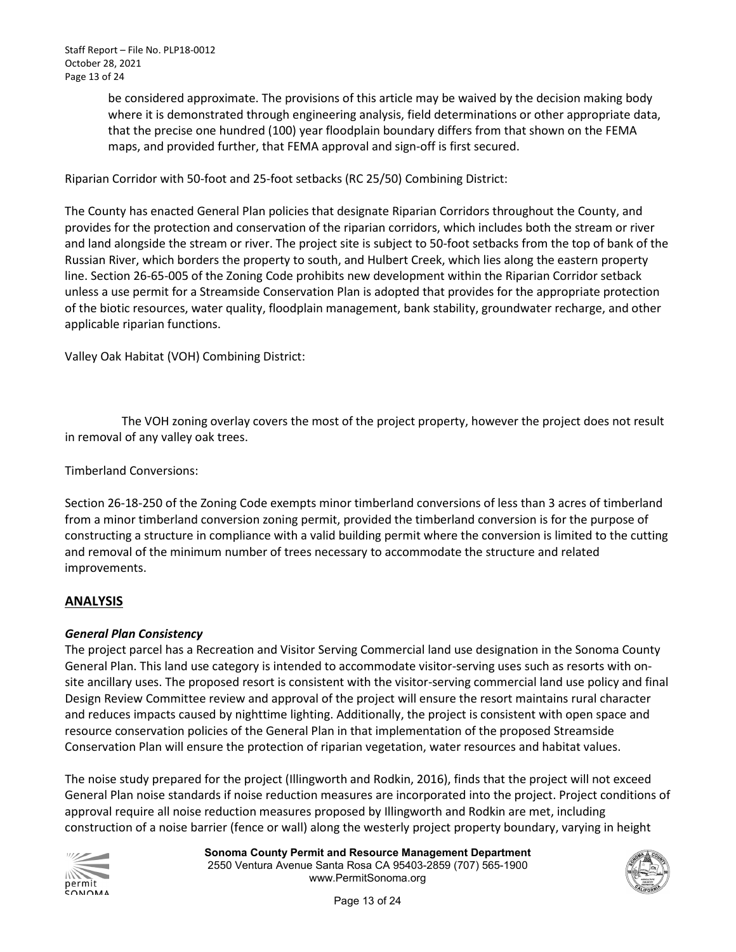be considered approximate. The provisions of this article may be waived by the decision making body where it is demonstrated through engineering analysis, field determinations or other appropriate data, that the precise one hundred (100) year floodplain boundary differs from that shown on the FEMA maps, and provided further, that FEMA approval and sign-off is first secured.

Riparian Corridor with 50-foot and 25-foot setbacks (RC 25/50) Combining District:

 provides for the protection and conservation of the riparian corridors, which includes both the stream or river and land alongside the stream or river. The project site is subject to 50-foot setbacks from the top of bank of the The County has enacted General Plan policies that designate Riparian Corridors throughout the County, and Russian River, which borders the property to south, and Hulbert Creek, which lies along the eastern property line. Section 26-65-005 of the Zoning Code prohibits new development within the Riparian Corridor setback unless a use permit for a Streamside Conservation Plan is adopted that provides for the appropriate protection of the biotic resources, water quality, floodplain management, bank stability, groundwater recharge, and other applicable riparian functions.

Valley Oak Habitat (VOH) Combining District:

The VOH zoning overlay covers the most of the project property, however the project does not result in removal of any valley oak trees.

Timberland Conversions:

 Section 26-18-250 of the Zoning Code exempts minor timberland conversions of less than 3 acres of timberland constructing a structure in compliance with a valid building permit where the conversion is limited to the cutting from a minor timberland conversion zoning permit, provided the timberland conversion is for the purpose of and removal of the minimum number of trees necessary to accommodate the structure and related improvements.

#### **ANALYSIS**

#### *General Plan Consistency*

The project parcel has a Recreation and Visitor Serving Commercial land use designation in the Sonoma County General Plan. This land use category is intended to accommodate visitor-serving uses such as resorts with onsite ancillary uses. The proposed resort is consistent with the visitor-serving commercial land use policy and final Design Review Committee review and approval of the project will ensure the resort maintains rural character and reduces impacts caused by nighttime lighting. Additionally, the project is consistent with open space and resource conservation policies of the General Plan in that implementation of the proposed Streamside Conservation Plan will ensure the protection of riparian vegetation, water resources and habitat values.

 The noise study prepared for the project (Illingworth and Rodkin, 2016), finds that the project will not exceed General Plan noise standards if noise reduction measures are incorporated into the project. Project conditions of approval require all noise reduction measures proposed by Illingworth and Rodkin are met, including construction of a noise barrier (fence or wall) along the westerly project property boundary, varying in height



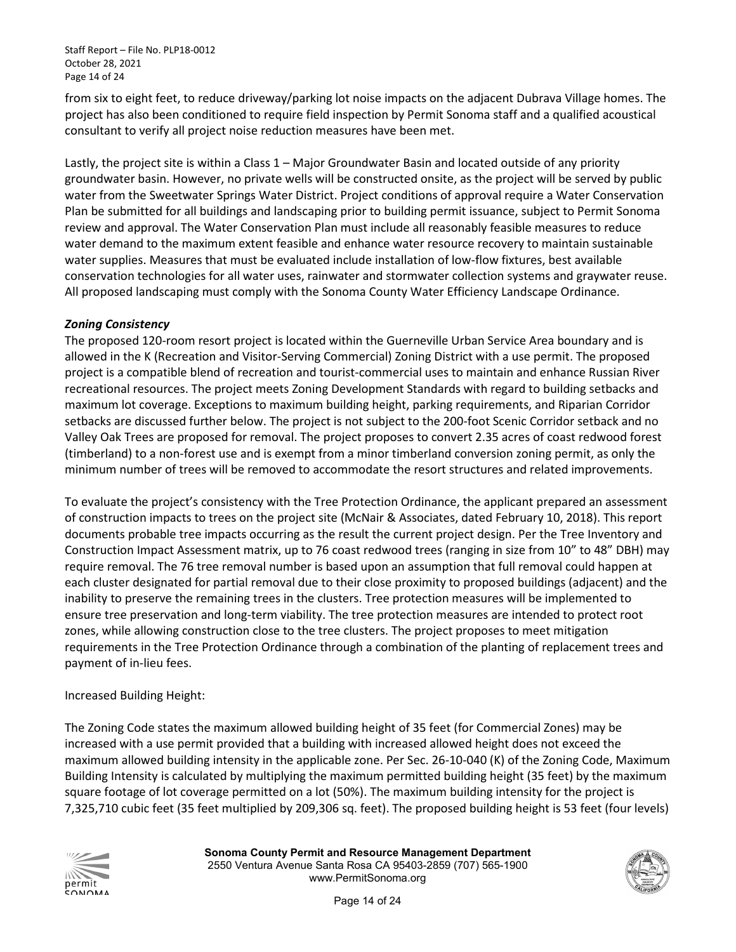from six to eight feet, to reduce driveway/parking lot noise impacts on the adjacent Dubrava Village homes. The project has also been conditioned to require field inspection by Permit Sonoma staff and a qualified acoustical consultant to verify all project noise reduction measures have been met.

consultant to verify all project noise reduction measures have been met.<br>Lastly, the project site is within a Class 1 – Major Groundwater Basin and located outside of any priority review and approval. The Water Conservation Plan must include all reasonably feasible measures to reduce groundwater basin. However, no private wells will be constructed onsite, as the project will be served by public water from the Sweetwater Springs Water District. Project conditions of approval require a Water Conservation Plan be submitted for all buildings and landscaping prior to building permit issuance, subject to Permit Sonoma water demand to the maximum extent feasible and enhance water resource recovery to maintain sustainable water supplies. Measures that must be evaluated include installation of low-flow fixtures, best available conservation technologies for all water uses, rainwater and stormwater collection systems and graywater reuse. All proposed landscaping must comply with the Sonoma County Water Efficiency Landscape Ordinance.

#### *Zoning Consistency*

 The proposed 120-room resort project is located within the Guerneville Urban Service Area boundary and is maximum lot coverage. Exceptions to maximum building height, parking requirements, and Riparian Corridor setbacks are discussed further below. The project is not subject to the 200-foot Scenic Corridor setback and no Valley Oak Trees are proposed for removal. The project proposes to convert 2.35 acres of coast redwood forest (timberland) to a non-forest use and is exempt from a minor timberland conversion zoning permit, as only the minimum number of trees will be removed to accommodate the resort structures and related improvements. allowed in the K (Recreation and Visitor-Serving Commercial) Zoning District with a use permit. The proposed project is a compatible blend of recreation and tourist-commercial uses to maintain and enhance Russian River recreational resources. The project meets Zoning Development Standards with regard to building setbacks and

 of construction impacts to trees on the project site (McNair & Associates, dated February 10, 2018). This report documents probable tree impacts occurring as the result the current project design. Per the Tree Inventory and require removal. The 76 tree removal number is based upon an assumption that full removal could happen at inability to preserve the remaining trees in the clusters. Tree protection measures will be implemented to ensure tree preservation and long-term viability. The tree protection measures are intended to protect root requirements in the Tree Protection Ordinance through a combination of the planting of replacement trees and To evaluate the project's consistency with the Tree Protection Ordinance, the applicant prepared an assessment Construction Impact Assessment matrix, up to 76 coast redwood trees (ranging in size from 10" to 48" DBH) may each cluster designated for partial removal due to their close proximity to proposed buildings (adjacent) and the zones, while allowing construction close to the tree clusters. The project proposes to meet mitigation payment of in-lieu fees.

#### Increased Building Height:

 maximum allowed building intensity in the applicable zone. Per Sec. 26-10-040 (K) of the Zoning Code, Maximum square footage of lot coverage permitted on a lot (50%). The maximum building intensity for the project is 7,325,710 cubic feet (35 feet multiplied by 209,306 sq. feet). The proposed building height is 53 feet (four levels) The Zoning Code states the maximum allowed building height of 35 feet (for Commercial Zones) may be increased with a use permit provided that a building with increased allowed height does not exceed the Building Intensity is calculated by multiplying the maximum permitted building height (35 feet) by the maximum



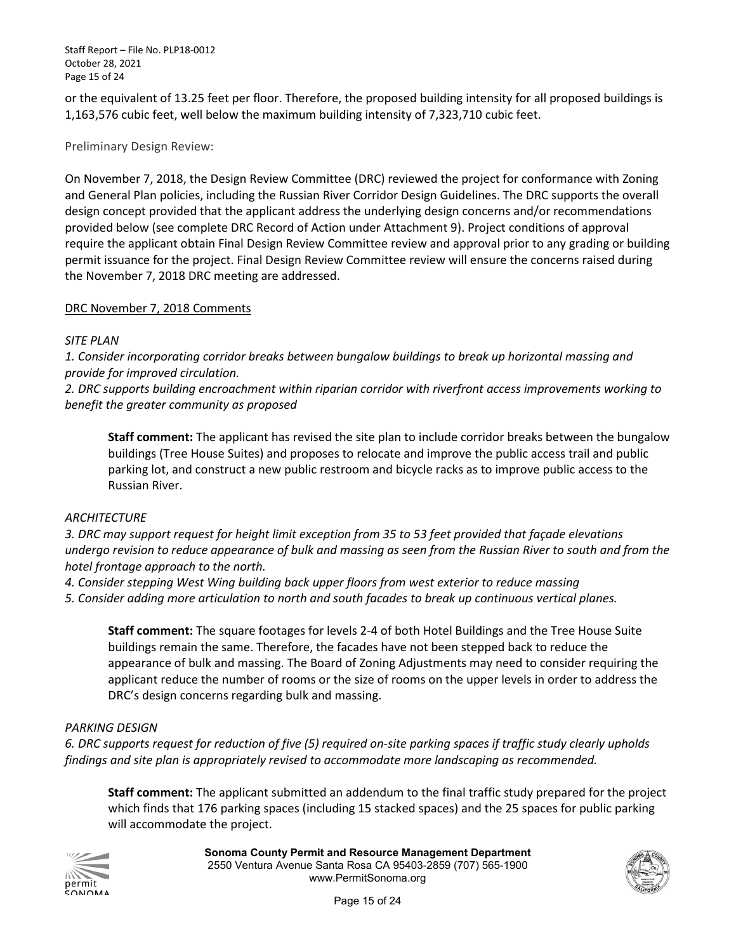Staff Report – File No. PLP18-0012 October 28, 2021 Page 15 of 24

 1,163,576 cubic feet, well below the maximum building intensity of 7,323,710 cubic feet. or the equivalent of 13.25 feet per floor. Therefore, the proposed building intensity for all proposed buildings is

#### Preliminary Design Review:

 design concept provided that the applicant address the underlying design concerns and/or recommendations provided below (see complete DRC Record of Action under Attachment 9). Project conditions of approval the November 7, 2018 DRC meeting are addressed. On November 7, 2018, the Design Review Committee (DRC) reviewed the project for conformance with Zoning and General Plan policies, including the Russian River Corridor Design Guidelines. The DRC supports the overall require the applicant obtain Final Design Review Committee review and approval prior to any grading or building permit issuance for the project. Final Design Review Committee review will ensure the concerns raised during

#### DRC November 7, 2018 Comments

#### *SITE PLAN*

*1. Consider incorporating corridor breaks between bungalow buildings to break up horizontal massing and provide for improved circulation.* 

*2. DRC supports building encroachment within riparian corridor with riverfront access improvements working to benefit the greater community as proposed* 

 **Staff comment:** The applicant has revised the site plan to include corridor breaks between the bungalow  Russian River. buildings (Tree House Suites) and proposes to relocate and improve the public access trail and public parking lot, and construct a new public restroom and bicycle racks as to improve public access to the

#### *ARCHITECTURE*

 *3. DRC may support request for height limit exception from 35 to 53 feet provided that façade elevations undergo revision to reduce appearance of bulk and massing as seen from the Russian River to south and from the hotel frontage approach to the north.* 

*4. Consider stepping West Wing building back upper floors from west exterior to reduce massing* 

*5. Consider adding more articulation to north and south facades to break up continuous vertical planes.* 

 buildings remain the same. Therefore, the facades have not been stepped back to reduce the appearance of bulk and massing. The Board of Zoning Adjustments may need to consider requiring the applicant reduce the number of rooms or the size of rooms on the upper levels in order to address the **Staff comment:** The square footages for levels 2-4 of both Hotel Buildings and the Tree House Suite DRC's design concerns regarding bulk and massing.

#### *PARKING DESIGN*

*6. DRC supports request for reduction of five (5) required on-site parking spaces if traffic study clearly upholds findings and site plan is appropriately revised to accommodate more landscaping as recommended.* 

 **Staff comment:** The applicant submitted an addendum to the final traffic study prepared for the project which finds that 176 parking spaces (including 15 stacked spaces) and the 25 spaces for public parking will accommodate the project.



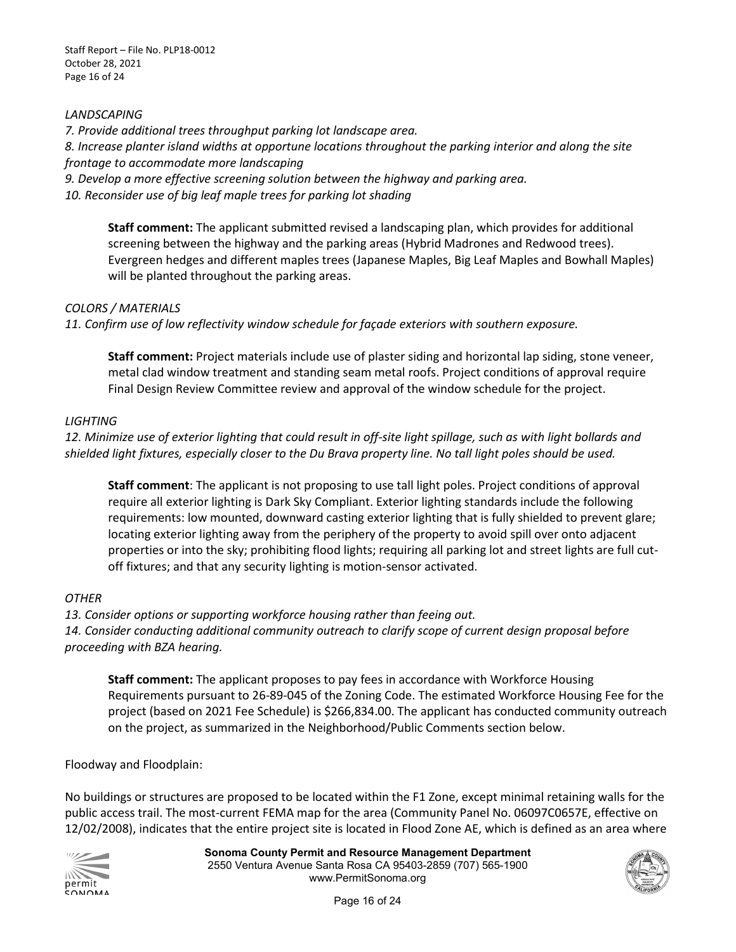#### *LANDSCAPING*

*7. Provide additional trees throughput parking lot landscape area. 8. Increase planter island widths at opportune locations throughout the parking interior and along the site frontage to accommodate more landscaping* 

*9. Develop a more effective screening solution between the highway and parking area.*  10. Reconsider use of big leaf maple trees for parking lot shading

 Evergreen hedges and different maples trees (Japanese Maples, Big Leaf Maples and Bowhall Maples) **Staff comment:** The applicant submitted revised a landscaping plan, which provides for additional screening between the highway and the parking areas (Hybrid Madrones and Redwood trees). will be planted throughout the parking areas.

#### *COLORS / MATERIALS*

*11. Confirm use of low reflectivity window schedule for façade exteriors with southern exposure.* 

 **Staff comment:** Project materials include use of plaster siding and horizontal lap siding, stone veneer, Final Design Review Committee review and approval of the window schedule for the project. metal clad window treatment and standing seam metal roofs. Project conditions of approval require

#### *LIGHTING*

*12. Minimize use of exterior lighting that could result in off-site light spillage, such as with light bollards and shielded light fixtures, especially closer to the Du Brava property line. No tall light poles should be used.* 

 **Staff comment**: The applicant is not proposing to use tall light poles. Project conditions of approval requirements: low mounted, downward casting exterior lighting that is fully shielded to prevent glare; locating exterior lighting away from the periphery of the property to avoid spill over onto adjacent require all exterior lighting is Dark Sky Compliant. Exterior lighting standards include the following properties or into the sky; prohibiting flood lights; requiring all parking lot and street lights are full cutoff fixtures; and that any security lighting is motion-sensor activated.

#### *OTHER*

*13. Consider options or supporting workforce housing rather than feeing out.* 

*14. Consider conducting additional community outreach to clarify scope of current design proposal before proceeding with BZA hearing.* 

 project (based on 2021 Fee Schedule) is \$266,834.00. The applicant has conducted community outreach **Staff comment:** The applicant proposes to pay fees in accordance with Workforce Housing Requirements pursuant to 26-89-045 of the Zoning Code. The estimated Workforce Housing Fee for the on the project, as summarized in the Neighborhood/Public Comments section below.

Floodway and Floodplain:

 public access trail. The most-current FEMA map for the area (Community Panel No. 06097C0657E, effective on 12/02/2008), indicates that the entire project site is located in Flood Zone AE, which is defined as an area where No buildings or structures are proposed to be located within the F1 Zone, except minimal retaining walls for the



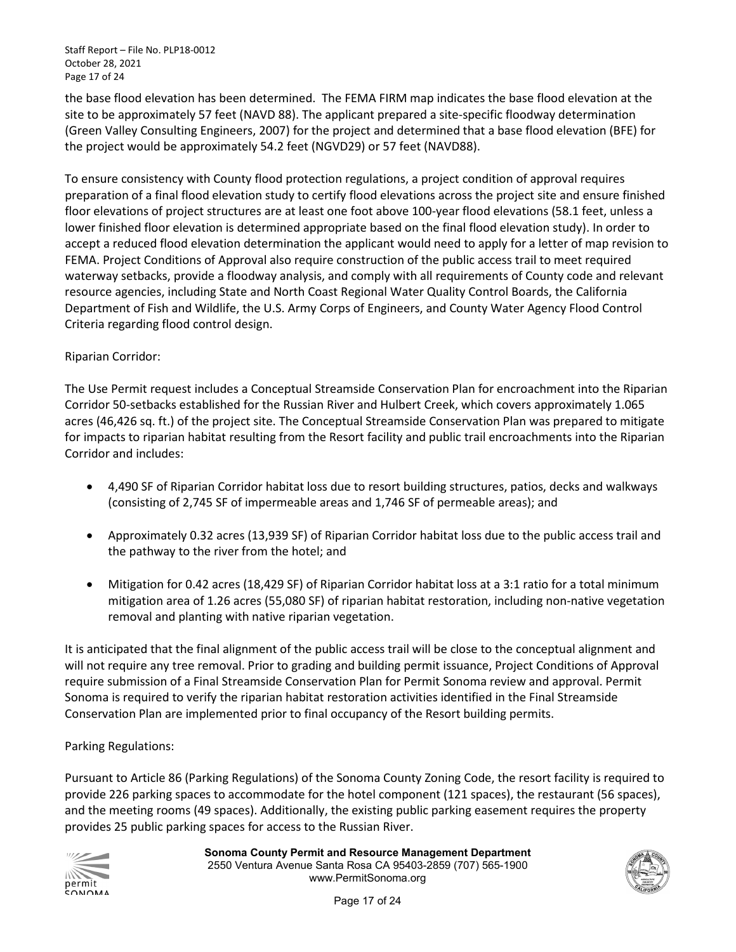the base flood elevation has been determined. The FEMA FIRM map indicates the base flood elevation at the the project would be approximately 54.2 feet (NGVD29) or 57 feet (NAVD88). site to be approximately 57 feet (NAVD 88). The applicant prepared a site-specific floodway determination (Green Valley Consulting Engineers, 2007) for the project and determined that a base flood elevation (BFE) for

 preparation of a final flood elevation study to certify flood elevations across the project site and ensure finished lower finished floor elevation is determined appropriate based on the final flood elevation study). In order to waterway setbacks, provide a floodway analysis, and comply with all requirements of County code and relevant Department of Fish and Wildlife, the U.S. Army Corps of Engineers, and County Water Agency Flood Control To ensure consistency with County flood protection regulations, a project condition of approval requires floor elevations of project structures are at least one foot above 100-year flood elevations (58.1 feet, unless a accept a reduced flood elevation determination the applicant would need to apply for a letter of map revision to FEMA. Project Conditions of Approval also require construction of the public access trail to meet required resource agencies, including State and North Coast Regional Water Quality Control Boards, the California Criteria regarding flood control design.

#### Riparian Corridor:

 acres (46,426 sq. ft.) of the project site. The Conceptual Streamside Conservation Plan was prepared to mitigate Corridor and includes: The Use Permit request includes a Conceptual Streamside Conservation Plan for encroachment into the Riparian Corridor 50-setbacks established for the Russian River and Hulbert Creek, which covers approximately 1.065 for impacts to riparian habitat resulting from the Resort facility and public trail encroachments into the Riparian

- (consisting of 2,745 SF of impermeable areas and 1,746 SF of permeable areas); and • 4,490 SF of Riparian Corridor habitat loss due to resort building structures, patios, decks and walkways
- • Approximately 0.32 acres (13,939 SF) of Riparian Corridor habitat loss due to the public access trail and the pathway to the river from the hotel; and
- Mitigation for 0.42 acres (18,429 SF) of Riparian Corridor habitat loss at a 3:1 ratio for a total minimum mitigation area of 1.26 acres (55,080 SF) of riparian habitat restoration, including non-native vegetation removal and planting with native riparian vegetation.

 require submission of a Final Streamside Conservation Plan for Permit Sonoma review and approval. Permit It is anticipated that the final alignment of the public access trail will be close to the conceptual alignment and will not require any tree removal. Prior to grading and building permit issuance, Project Conditions of Approval Sonoma is required to verify the riparian habitat restoration activities identified in the Final Streamside Conservation Plan are implemented prior to final occupancy of the Resort building permits.

#### Parking Regulations:

Pursuant to Article 86 (Parking Regulations) of the Sonoma County Zoning Code, the resort facility is required to provide 226 parking spaces to accommodate for the hotel component (121 spaces), the restaurant (56 spaces), and the meeting rooms (49 spaces). Additionally, the existing public parking easement requires the property provides 25 public parking spaces for access to the Russian River.



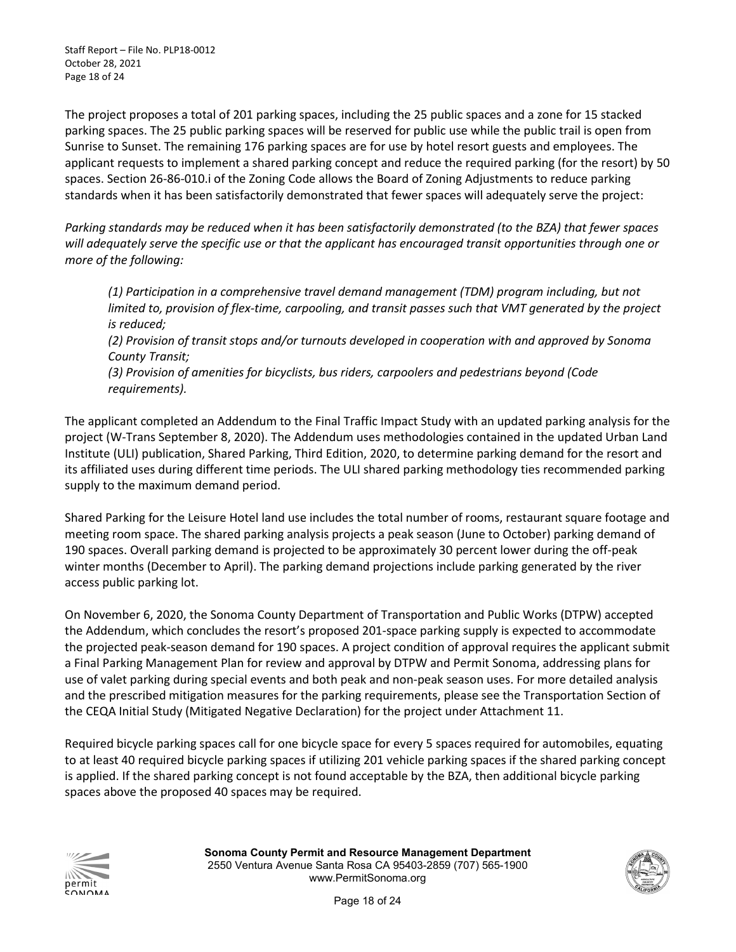parking spaces. The 25 public parking spaces will be reserved for public use while the public trail is open from Sunrise to Sunset. The remaining 176 parking spaces are for use by hotel resort guests and employees. The The project proposes a total of 201 parking spaces, including the 25 public spaces and a zone for 15 stacked applicant requests to implement a shared parking concept and reduce the required parking (for the resort) by 50 spaces. Section 26-86-010.i of the Zoning Code allows the Board of Zoning Adjustments to reduce parking standards when it has been satisfactorily demonstrated that fewer spaces will adequately serve the project:

 *Parking standards may be reduced when it has been satisfactorily demonstrated (to the BZA) that fewer spaces will adequately serve the specific use or that the applicant has encouraged transit opportunities through one or more of the following:* 

 *limited to, provision of flex-time, carpooling, and transit passes such that VMT generated by the project (1) Participation in a comprehensive travel demand management (TDM) program including, but not is reduced; (2) Provision of transit stops and/or turnouts developed in cooperation with and approved by Sonoma County Transit;* 

*(3) Provision of amenities for bicyclists, bus riders, carpoolers and pedestrians beyond (Code requirements).* 

 The applicant completed an Addendum to the Final Traffic Impact Study with an updated parking analysis for the Institute (ULI) publication, Shared Parking, Third Edition, 2020, to determine parking demand for the resort and project (W-Trans September 8, 2020). The Addendum uses methodologies contained in the updated Urban Land its affiliated uses during different time periods. The ULI shared parking methodology ties recommended parking supply to the maximum demand period.

 meeting room space. The shared parking analysis projects a peak season (June to October) parking demand of Shared Parking for the Leisure Hotel land use includes the total number of rooms, restaurant square footage and 190 spaces. Overall parking demand is projected to be approximately 30 percent lower during the off-peak winter months (December to April). The parking demand projections include parking generated by the river access public parking lot.

 the projected peak-season demand for 190 spaces. A project condition of approval requires the applicant submit a Final Parking Management Plan for review and approval by DTPW and Permit Sonoma, addressing plans for and the prescribed mitigation measures for the parking requirements, please see the Transportation Section of On November 6, 2020, the Sonoma County Department of Transportation and Public Works (DTPW) accepted the Addendum, which concludes the resort's proposed 201-space parking supply is expected to accommodate use of valet parking during special events and both peak and non-peak season uses. For more detailed analysis the CEQA Initial Study (Mitigated Negative Declaration) for the project under Attachment 11.

 Required bicycle parking spaces call for one bicycle space for every 5 spaces required for automobiles, equating to at least 40 required bicycle parking spaces if utilizing 201 vehicle parking spaces if the shared parking concept is applied. If the shared parking concept is not found acceptable by the BZA, then additional bicycle parking spaces above the proposed 40 spaces may be required.



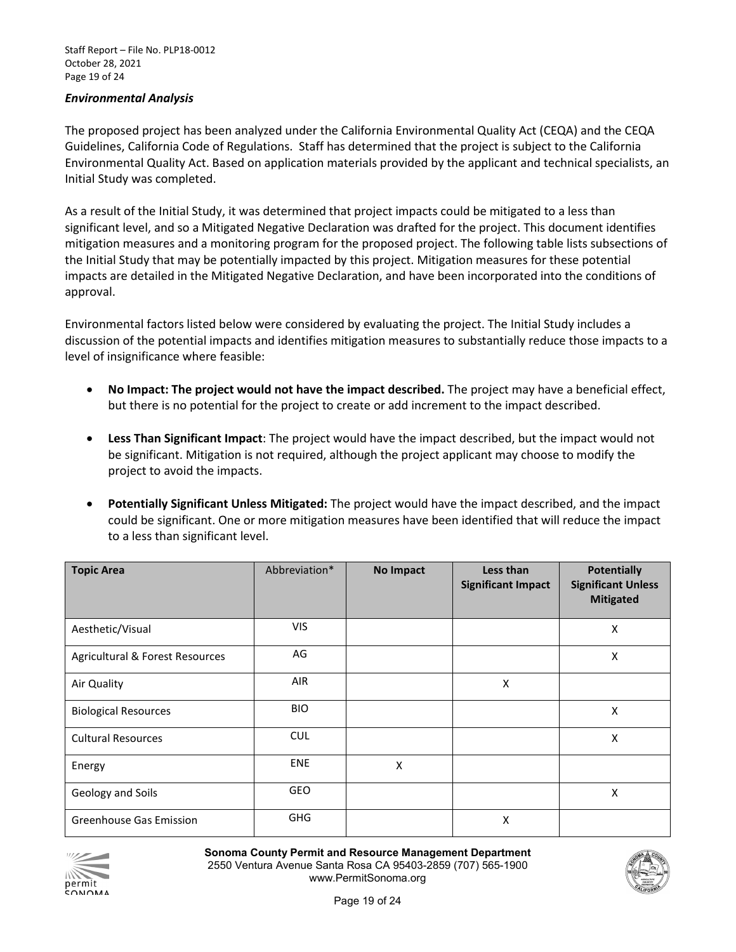#### *Environmental Analysis*

 Guidelines, California Code of Regulations. Staff has determined that the project is subject to the California Environmental Quality Act. Based on application materials provided by the applicant and technical specialists, an Initial Study was completed. The proposed project has been analyzed under the California Environmental Quality Act (CEQA) and the CEQA

Initial Study was completed.<br>As a result of the Initial Study, it was determined that project impacts could be mitigated to a less than impacts are detailed in the Mitigated Negative Declaration, and have been incorporated into the conditions of significant level, and so a Mitigated Negative Declaration was drafted for the project. This document identifies mitigation measures and a monitoring program for the proposed project. The following table lists subsections of the Initial Study that may be potentially impacted by this project. Mitigation measures for these potential approval.

Environmental factors listed below were considered by evaluating the project. The Initial Study includes a discussion of the potential impacts and identifies mitigation measures to substantially reduce those impacts to a level of insignificance where feasible:

- **No Impact: The project would not have the impact described.** The project may have a beneficial effect, but there is no potential for the project to create or add increment to the impact described.
- • **Less Than Significant Impact**: The project would have the impact described, but the impact would not be significant. Mitigation is not required, although the project applicant may choose to modify the project to avoid the impacts.
- • **Potentially Significant Unless Mitigated:** The project would have the impact described, and the impact could be significant. One or more mitigation measures have been identified that will reduce the impact to a less than significant level.

| <b>Topic Area</b>               | Abbreviation* | <b>No Impact</b> | Less than<br><b>Significant Impact</b> | <b>Potentially</b><br><b>Significant Unless</b><br><b>Mitigated</b> |
|---------------------------------|---------------|------------------|----------------------------------------|---------------------------------------------------------------------|
| Aesthetic/Visual                | <b>VIS</b>    |                  |                                        | $\pmb{\mathsf{X}}$                                                  |
| Agricultural & Forest Resources | AG            |                  |                                        | X                                                                   |
| Air Quality                     | <b>AIR</b>    |                  | X                                      |                                                                     |
| <b>Biological Resources</b>     | <b>BIO</b>    |                  |                                        | X                                                                   |
| <b>Cultural Resources</b>       | <b>CUL</b>    |                  |                                        | X                                                                   |
| Energy                          | <b>ENE</b>    | X                |                                        |                                                                     |
| Geology and Soils               | GEO           |                  |                                        | X                                                                   |
| <b>Greenhouse Gas Emission</b>  | <b>GHG</b>    |                  | Χ                                      |                                                                     |



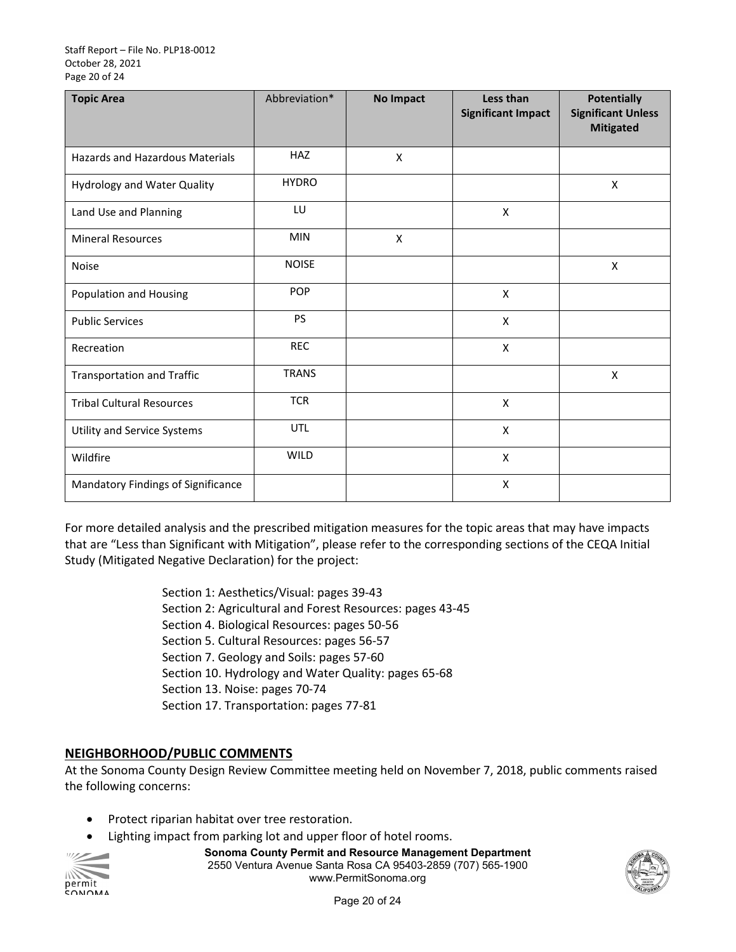#### Staff Report – File No. PLP18-0012 October 28, 2021 Page 20 of 24

| <b>Topic Area</b>                      | Abbreviation* | <b>No Impact</b> | Less than<br><b>Significant Impact</b> | <b>Potentially</b><br><b>Significant Unless</b><br><b>Mitigated</b> |
|----------------------------------------|---------------|------------------|----------------------------------------|---------------------------------------------------------------------|
| <b>Hazards and Hazardous Materials</b> | HAZ           | X                |                                        |                                                                     |
| <b>Hydrology and Water Quality</b>     | <b>HYDRO</b>  |                  |                                        | X                                                                   |
| Land Use and Planning                  | LU            |                  | X                                      |                                                                     |
| <b>Mineral Resources</b>               | <b>MIN</b>    | X                |                                        |                                                                     |
| <b>Noise</b>                           | <b>NOISE</b>  |                  |                                        | $\mathsf{X}$                                                        |
| Population and Housing                 | <b>POP</b>    |                  | X                                      |                                                                     |
| <b>Public Services</b>                 | PS            |                  | X                                      |                                                                     |
| Recreation                             | <b>REC</b>    |                  | $\pmb{\mathsf{X}}$                     |                                                                     |
| <b>Transportation and Traffic</b>      | <b>TRANS</b>  |                  |                                        | $\pmb{\times}$                                                      |
| <b>Tribal Cultural Resources</b>       | <b>TCR</b>    |                  | $\pmb{\mathsf{X}}$                     |                                                                     |
| Utility and Service Systems            | <b>UTL</b>    |                  | $\pmb{\mathsf{X}}$                     |                                                                     |
| Wildfire                               | <b>WILD</b>   |                  | X                                      |                                                                     |
| Mandatory Findings of Significance     |               |                  | X                                      |                                                                     |

 For more detailed analysis and the prescribed mitigation measures for the topic areas that may have impacts that are "Less than Significant with Mitigation", please refer to the corresponding sections of the CEQA Initial Study (Mitigated Negative Declaration) for the project:

> Section 1: Aesthetics/Visual: pages 39-43 Section 2: Agricultural and Forest Resources: pages 43-45 Section 7. Geology and Soils: pages 57-60 Section 13. Noise: pages 70-74 Section 17. Transportation: pages 77-81 Section 4. Biological Resources: pages 50-56 Section 5. Cultural Resources: pages 56-57 Section 10. Hydrology and Water Quality: pages 65-68

#### **NEIGHBORHOOD/PUBLIC COMMENTS**

 At the Sonoma County Design Review Committee meeting held on November 7, 2018, public comments raised the following concerns:

- Protect riparian habitat over tree restoration.
- Lighting impact from parking lot and upper floor of hotel rooms.



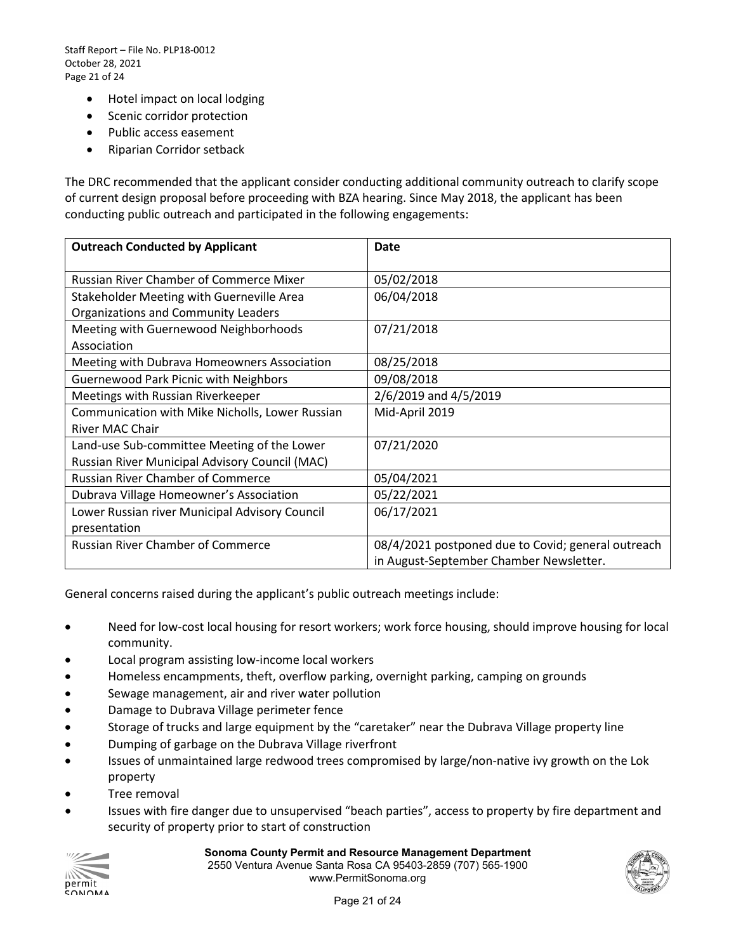Staff Report – File No. PLP18-0012 October 28, 2021 Page 21 of 24

- Hotel impact on local lodging
- Scenic corridor protection
- Public access easement
- Riparian Corridor setback

 The DRC recommended that the applicant consider conducting additional community outreach to clarify scope conducting public outreach and participated in the following engagements: of current design proposal before proceeding with BZA hearing. Since May 2018, the applicant has been

| <b>Outreach Conducted by Applicant</b>          | Date                                               |
|-------------------------------------------------|----------------------------------------------------|
| <b>Russian River Chamber of Commerce Mixer</b>  | 05/02/2018                                         |
| Stakeholder Meeting with Guerneville Area       | 06/04/2018                                         |
| <b>Organizations and Community Leaders</b>      |                                                    |
| Meeting with Guernewood Neighborhoods           | 07/21/2018                                         |
| Association                                     |                                                    |
| Meeting with Dubrava Homeowners Association     | 08/25/2018                                         |
| <b>Guernewood Park Picnic with Neighbors</b>    | 09/08/2018                                         |
| Meetings with Russian Riverkeeper               | 2/6/2019 and 4/5/2019                              |
| Communication with Mike Nicholls, Lower Russian | Mid-April 2019                                     |
| <b>River MAC Chair</b>                          |                                                    |
| Land-use Sub-committee Meeting of the Lower     | 07/21/2020                                         |
| Russian River Municipal Advisory Council (MAC)  |                                                    |
| <b>Russian River Chamber of Commerce</b>        | 05/04/2021                                         |
| Dubrava Village Homeowner's Association         | 05/22/2021                                         |
| Lower Russian river Municipal Advisory Council  | 06/17/2021                                         |
| presentation                                    |                                                    |
| <b>Russian River Chamber of Commerce</b>        | 08/4/2021 postponed due to Covid; general outreach |
|                                                 | in August-September Chamber Newsletter.            |

General concerns raised during the applicant's public outreach meetings include:

- Need for low-cost local housing for resort workers; work force housing, should improve housing for local community.
- Local program assisting low-income local workers
- Homeless encampments, theft, overflow parking, overnight parking, camping on grounds
- Sewage management, air and river water pollution
- Damage to Dubrava Village perimeter fence
- Storage of trucks and large equipment by the "caretaker" near the Dubrava Village property line
- Dumping of garbage on the Dubrava Village riverfront
- Issues of unmaintained large redwood trees compromised by large/non-native ivy growth on the Lok property
- Tree removal
- Issues with fire danger due to unsupervised "beach parties", access to property by fire department and security of property prior to start of construction



#### **Sonoma County Permit and Resource Management Department**

2550 Ventura Avenue Santa Rosa CA 95403-2859 (707) 565-1900 www.PermitSonoma.org

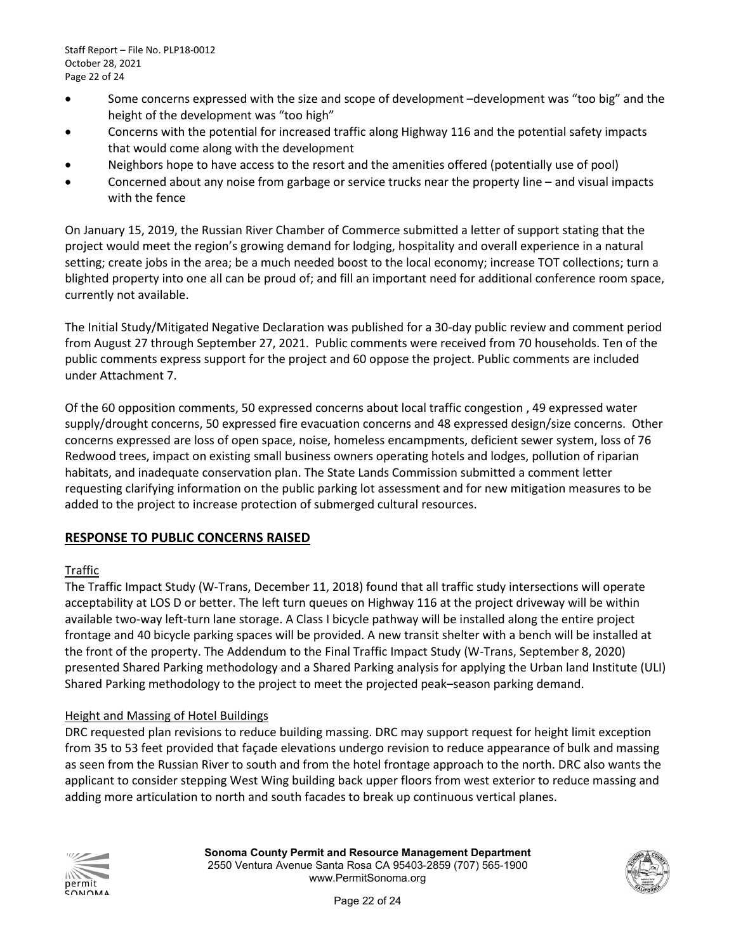- • Some concerns expressed with the size and scope of development –development was "too big" and the height of the development was "too high"
- • Concerns with the potential for increased traffic along Highway 116 and the potential safety impacts that would come along with the development
- Neighbors hope to have access to the resort and the amenities offered (potentially use of pool)
- • Concerned about any noise from garbage or service trucks near the property line and visual impacts with the fence

 On January 15, 2019, the Russian River Chamber of Commerce submitted a letter of support stating that the setting; create jobs in the area; be a much needed boost to the local economy; increase TOT collections; turn a blighted property into one all can be proud of; and fill an important need for additional conference room space, project would meet the region's growing demand for lodging, hospitality and overall experience in a natural currently not available.

 from August 27 through September 27, 2021. Public comments were received from 70 households. Ten of the public comments express support for the project and 60 oppose the project. Public comments are included The Initial Study/Mitigated Negative Declaration was published for a 30-day public review and comment period under Attachment 7.

 supply/drought concerns, 50 expressed fire evacuation concerns and 48 expressed design/size concerns. Other concerns expressed are loss of open space, noise, homeless encampments, deficient sewer system, loss of 76 Redwood trees, impact on existing small business owners operating hotels and lodges, pollution of riparian requesting clarifying information on the public parking lot assessment and for new mitigation measures to be added to the project to increase protection of submerged cultural resources. Of the 60 opposition comments, 50 expressed concerns about local traffic congestion , 49 expressed water habitats, and inadequate conservation plan. The State Lands Commission submitted a comment letter

#### **RESPONSE TO PUBLIC CONCERNS RAISED**

#### Traffic

 The Traffic Impact Study (W-Trans, December 11, 2018) found that all traffic study intersections will operate acceptability at LOS D or better. The left turn queues on Highway 116 at the project driveway will be within frontage and 40 bicycle parking spaces will be provided. A new transit shelter with a bench will be installed at the front of the property. The Addendum to the Final Traffic Impact Study (W-Trans, September 8, 2020) available two-way left-turn lane storage. A Class I bicycle pathway will be installed along the entire project presented Shared Parking methodology and a Shared Parking analysis for applying the Urban land Institute (ULI) Shared Parking methodology to the project to meet the projected peak–season parking demand.

#### Height and Massing of Hotel Buildings

 DRC requested plan revisions to reduce building massing. DRC may support request for height limit exception from 35 to 53 feet provided that façade elevations undergo revision to reduce appearance of bulk and massing adding more articulation to north and south facades to break up continuous vertical planes. as seen from the Russian River to south and from the hotel frontage approach to the north. DRC also wants the applicant to consider stepping West Wing building back upper floors from west exterior to reduce massing and



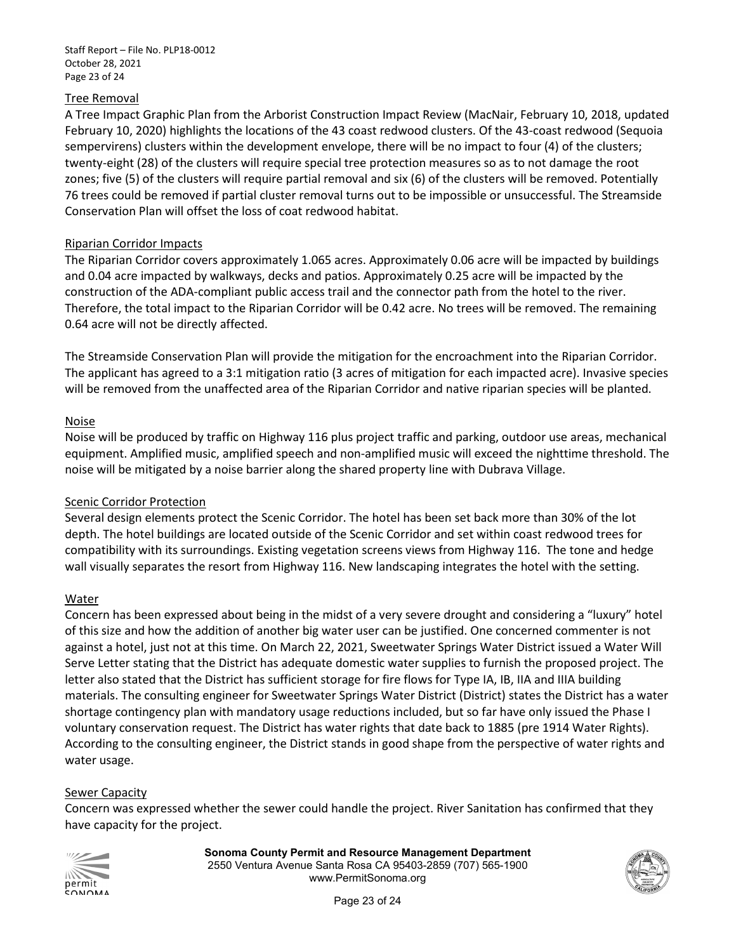Staff Report – File No. PLP18-0012 October 28, 2021 Page 23 of 24

#### Tree Removal

 zones; five (5) of the clusters will require partial removal and six (6) of the clusters will be removed. Potentially A Tre e Impact Graphic Plan from the Arborist Construction Impact Review (MacNair, February 10, 2018, updated February 10, 2020) highlights the locations of the 43 coast redwood clusters. Of the 43-coast redwood (Sequoia sempervirens) clusters within the development envelope, there will be no impact to four (4) of the clusters; twenty-eight (28) of the clusters will require special tree protection measures so as to not damage the root 76 trees could be removed if partial cluster removal turns out to be impossible or unsuccessful. The Streamside Conservation Plan will offset the loss of coat redwood habitat.

#### Riparian Corridor Impacts

 and 0.04 acre impacted by walkways, decks and patios. Approximately 0.25 acre will be impacted by the construction of the ADA-compliant public access trail and the connector path from the hotel to the river. The Riparian Corridor covers approximately 1.065 acres. Approximately 0.06 acre will be impacted by buildings Therefore, the total impact to the Riparian Corridor will be 0.42 acre. No trees will be removed. The remaining 0.64 acre will not be directly affected.

 The applicant has agreed to a 3:1 mitigation ratio (3 acres of mitigation for each impacted acre). Invasive species The Streamside Conservation Plan will provide the mitigation for the encroachment into the Riparian Corridor. will be removed from the unaffected area of the Riparian Corridor and native riparian species will be planted.

#### Noise

 Noise will be produced by traffic on Highway 116 plus project traffic and parking, outdoor use areas, mechanical noise will be mitigated by a noise barrier along the shared property line with Dubrava Village. equipment. Amplified music, amplified speech and non-amplified music will exceed the nighttime threshold. The

#### Scenic Corridor Protection

 Several design elements protect the Scenic Corridor. The hotel has been set back more than 30% of the lot compatibility with its surroundings. Existing vegetation screens views from Highway 116. The tone and hedge wall visually separates the resort from Highway 116. New landscaping integrates the hotel with the setting. depth. The hotel buildings are located outside of the Scenic Corridor and set within coast redwood trees for

#### Water

 Concern has been expressed about being in the midst of a very severe drought and considering a "luxury" hotel against a hotel, just not at this time. On March 22, 2021, Sweetwater Springs Water District issued a Water Will materials. The consulting engineer for Sweetwater Springs Water District (District) states the District has a water shortage contingency plan with mandatory usage reductions included, but so far have only issued the Phase I voluntary conservation request. The District has water rights that date back to 1885 (pre 1914 Water Rights). According to the consulting engineer, the District stands in good shape from the perspective of water rights and of this size and how the addition of another big water user can be justified. One concerned commenter is not Serve Letter stating that the District has adequate domestic water supplies to furnish the proposed project. The letter also stated that the District has sufficient storage for fire flows for Type IA, IB, IIA and IIIA building water usage.

#### Sewer Capacity

 Concern was expressed whether the sewer could handle the project. River Sanitation has confirmed that they have capacity for the project.